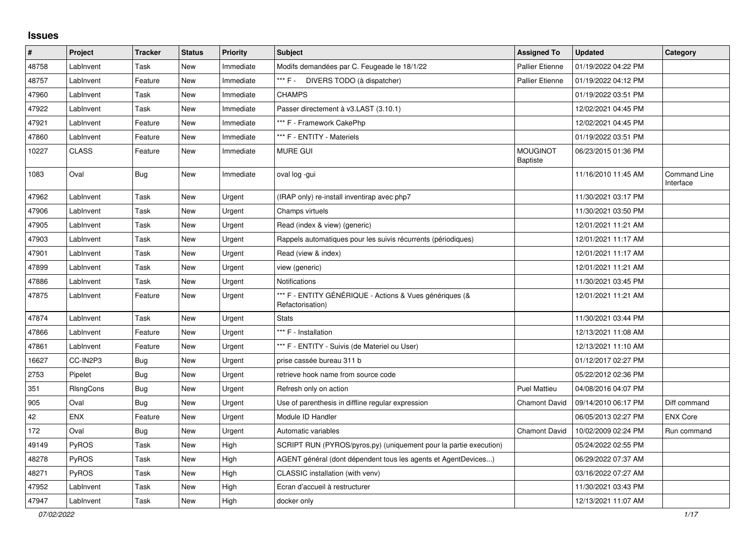## **Issues**

| $\vert$ # | Project          | <b>Tracker</b> | <b>Status</b> | Priority  | <b>Subject</b>                                                              | <b>Assigned To</b>                 | <b>Updated</b>      | Category                  |
|-----------|------------------|----------------|---------------|-----------|-----------------------------------------------------------------------------|------------------------------------|---------------------|---------------------------|
| 48758     | LabInvent        | Task           | <b>New</b>    | Immediate | Modifs demandées par C. Feugeade le 18/1/22                                 | <b>Pallier Etienne</b>             | 01/19/2022 04:22 PM |                           |
| 48757     | LabInvent        | Feature        | New           | Immediate | *** F -<br>DIVERS TODO (à dispatcher)                                       | <b>Pallier Etienne</b>             | 01/19/2022 04:12 PM |                           |
| 47960     | LabInvent        | Task           | <b>New</b>    | Immediate | <b>CHAMPS</b>                                                               |                                    | 01/19/2022 03:51 PM |                           |
| 47922     | LabInvent        | Task           | <b>New</b>    | Immediate | Passer directement à v3.LAST (3.10.1)                                       |                                    | 12/02/2021 04:45 PM |                           |
| 47921     | LabInvent        | Feature        | <b>New</b>    | Immediate | *** F - Framework CakePhp                                                   |                                    | 12/02/2021 04:45 PM |                           |
| 47860     | LabInvent        | Feature        | <b>New</b>    | Immediate | *** F - ENTITY - Materiels                                                  |                                    | 01/19/2022 03:51 PM |                           |
| 10227     | <b>CLASS</b>     | Feature        | <b>New</b>    | Immediate | <b>MURE GUI</b>                                                             | <b>MOUGINOT</b><br><b>Baptiste</b> | 06/23/2015 01:36 PM |                           |
| 1083      | Oval             | <b>Bug</b>     | New           | Immediate | oval log -gui                                                               |                                    | 11/16/2010 11:45 AM | Command Line<br>Interface |
| 47962     | LabInvent        | Task           | <b>New</b>    | Urgent    | (IRAP only) re-install inventirap avec php7                                 |                                    | 11/30/2021 03:17 PM |                           |
| 47906     | LabInvent        | Task           | <b>New</b>    | Urgent    | Champs virtuels                                                             |                                    | 11/30/2021 03:50 PM |                           |
| 47905     | LabInvent        | Task           | <b>New</b>    | Urgent    | Read (index & view) (generic)                                               |                                    | 12/01/2021 11:21 AM |                           |
| 47903     | LabInvent        | Task           | <b>New</b>    | Urgent    | Rappels automatiques pour les suivis récurrents (périodiques)               |                                    | 12/01/2021 11:17 AM |                           |
| 47901     | LabInvent        | Task           | <b>New</b>    | Urgent    | Read (view & index)                                                         |                                    | 12/01/2021 11:17 AM |                           |
| 47899     | LabInvent        | Task           | <b>New</b>    | Urgent    | view (generic)                                                              |                                    | 12/01/2021 11:21 AM |                           |
| 47886     | LabInvent        | Task           | <b>New</b>    | Urgent    | Notifications                                                               |                                    | 11/30/2021 03:45 PM |                           |
| 47875     | LabInvent        | Feature        | <b>New</b>    | Urgent    | *** F - ENTITY GÉNÉRIQUE - Actions & Vues génériques (&<br>Refactorisation) |                                    | 12/01/2021 11:21 AM |                           |
| 47874     | LabInvent        | Task           | <b>New</b>    | Urgent    | <b>Stats</b>                                                                |                                    | 11/30/2021 03:44 PM |                           |
| 47866     | LabInvent        | Feature        | <b>New</b>    | Urgent    | *** F - Installation                                                        |                                    | 12/13/2021 11:08 AM |                           |
| 47861     | LabInvent        | Feature        | <b>New</b>    | Urgent    | *** F - ENTITY - Suivis (de Materiel ou User)                               |                                    | 12/13/2021 11:10 AM |                           |
| 16627     | CC-IN2P3         | Bug            | <b>New</b>    | Urgent    | prise cassée bureau 311 b                                                   |                                    | 01/12/2017 02:27 PM |                           |
| 2753      | Pipelet          | <b>Bug</b>     | <b>New</b>    | Urgent    | retrieve hook name from source code                                         |                                    | 05/22/2012 02:36 PM |                           |
| 351       | <b>RIsngCons</b> | <b>Bug</b>     | <b>New</b>    | Urgent    | Refresh only on action                                                      | <b>Puel Mattieu</b>                | 04/08/2016 04:07 PM |                           |
| 905       | Oval             | Bug            | <b>New</b>    | Urgent    | Use of parenthesis in diffline regular expression                           | <b>Chamont David</b>               | 09/14/2010 06:17 PM | Diff command              |
| 42        | <b>ENX</b>       | Feature        | New           | Urgent    | Module ID Handler                                                           |                                    | 06/05/2013 02:27 PM | <b>ENX Core</b>           |
| 172       | Oval             | <b>Bug</b>     | <b>New</b>    | Urgent    | Automatic variables                                                         | <b>Chamont David</b>               | 10/02/2009 02:24 PM | Run command               |
| 49149     | PyROS            | Task           | <b>New</b>    | High      | SCRIPT RUN (PYROS/pyros.py) (uniquement pour la partie execution)           |                                    | 05/24/2022 02:55 PM |                           |
| 48278     | PyROS            | Task           | <b>New</b>    | High      | AGENT général (dont dépendent tous les agents et AgentDevices)              |                                    | 06/29/2022 07:37 AM |                           |
| 48271     | <b>PyROS</b>     | Task           | <b>New</b>    | High      | CLASSIC installation (with venv)                                            |                                    | 03/16/2022 07:27 AM |                           |
| 47952     | LabInvent        | Task           | <b>New</b>    | High      | Ecran d'accueil à restructurer                                              |                                    | 11/30/2021 03:43 PM |                           |
| 47947     | LabInvent        | Task           | New           | High      | docker only                                                                 |                                    | 12/13/2021 11:07 AM |                           |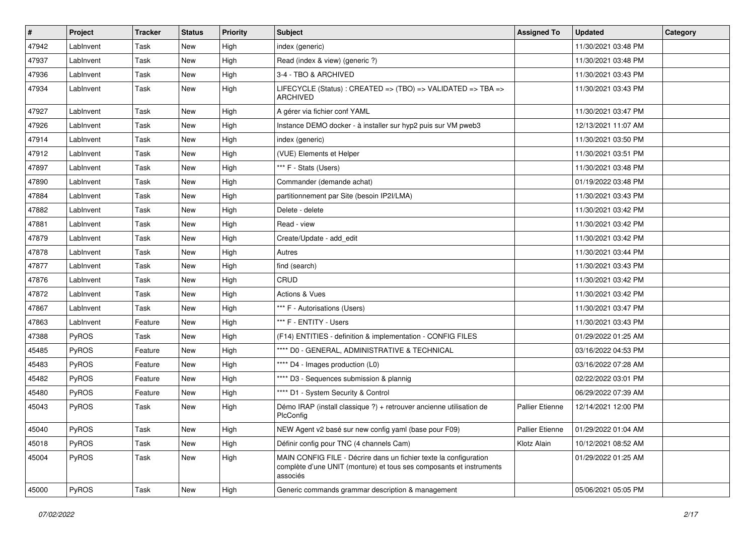| #     | Project   | <b>Tracker</b> | <b>Status</b> | <b>Priority</b> | <b>Subject</b>                                                                                                                                       | <b>Assigned To</b>     | <b>Updated</b>      | Category |
|-------|-----------|----------------|---------------|-----------------|------------------------------------------------------------------------------------------------------------------------------------------------------|------------------------|---------------------|----------|
| 47942 | LabInvent | Task           | <b>New</b>    | High            | index (generic)                                                                                                                                      |                        | 11/30/2021 03:48 PM |          |
| 47937 | LabInvent | Task           | <b>New</b>    | High            | Read (index & view) (generic ?)                                                                                                                      |                        | 11/30/2021 03:48 PM |          |
| 47936 | LabInvent | Task           | New           | High            | 3-4 - TBO & ARCHIVED                                                                                                                                 |                        | 11/30/2021 03:43 PM |          |
| 47934 | LabInvent | Task           | <b>New</b>    | High            | LIFECYCLE (Status): CREATED => (TBO) => VALIDATED => TBA =><br><b>ARCHIVED</b>                                                                       |                        | 11/30/2021 03:43 PM |          |
| 47927 | LabInvent | Task           | <b>New</b>    | High            | A gérer via fichier conf YAML                                                                                                                        |                        | 11/30/2021 03:47 PM |          |
| 47926 | LabInvent | Task           | <b>New</b>    | High            | Instance DEMO docker - à installer sur hyp2 puis sur VM pweb3                                                                                        |                        | 12/13/2021 11:07 AM |          |
| 47914 | LabInvent | Task           | <b>New</b>    | High            | index (generic)                                                                                                                                      |                        | 11/30/2021 03:50 PM |          |
| 47912 | LabInvent | Task           | <b>New</b>    | High            | (VUE) Elements et Helper                                                                                                                             |                        | 11/30/2021 03:51 PM |          |
| 47897 | LabInvent | Task           | <b>New</b>    | High            | *** F - Stats (Users)                                                                                                                                |                        | 11/30/2021 03:48 PM |          |
| 47890 | LabInvent | Task           | New           | High            | Commander (demande achat)                                                                                                                            |                        | 01/19/2022 03:48 PM |          |
| 47884 | LabInvent | Task           | <b>New</b>    | High            | partitionnement par Site (besoin IP2I/LMA)                                                                                                           |                        | 11/30/2021 03:43 PM |          |
| 47882 | LabInvent | Task           | New           | High            | Delete - delete                                                                                                                                      |                        | 11/30/2021 03:42 PM |          |
| 47881 | LabInvent | Task           | <b>New</b>    | High            | Read - view                                                                                                                                          |                        | 11/30/2021 03:42 PM |          |
| 47879 | LabInvent | Task           | <b>New</b>    | High            | Create/Update - add edit                                                                                                                             |                        | 11/30/2021 03:42 PM |          |
| 47878 | LabInvent | Task           | <b>New</b>    | High            | Autres                                                                                                                                               |                        | 11/30/2021 03:44 PM |          |
| 47877 | LabInvent | Task           | <b>New</b>    | High            | find (search)                                                                                                                                        |                        | 11/30/2021 03:43 PM |          |
| 47876 | LabInvent | Task           | <b>New</b>    | High            | CRUD                                                                                                                                                 |                        | 11/30/2021 03:42 PM |          |
| 47872 | LabInvent | Task           | <b>New</b>    | High            | <b>Actions &amp; Vues</b>                                                                                                                            |                        | 11/30/2021 03:42 PM |          |
| 47867 | LabInvent | Task           | <b>New</b>    | High            | *** F - Autorisations (Users)                                                                                                                        |                        | 11/30/2021 03:47 PM |          |
| 47863 | LabInvent | Feature        | <b>New</b>    | High            | *** F - ENTITY - Users                                                                                                                               |                        | 11/30/2021 03:43 PM |          |
| 47388 | PyROS     | Task           | <b>New</b>    | High            | (F14) ENTITIES - definition & implementation - CONFIG FILES                                                                                          |                        | 01/29/2022 01:25 AM |          |
| 45485 | PyROS     | Feature        | <b>New</b>    | High            | **** D0 - GENERAL, ADMINISTRATIVE & TECHNICAL                                                                                                        |                        | 03/16/2022 04:53 PM |          |
| 45483 | PyROS     | Feature        | <b>New</b>    | High            | **** D4 - Images production (L0)                                                                                                                     |                        | 03/16/2022 07:28 AM |          |
| 45482 | PyROS     | Feature        | <b>New</b>    | High            | **** D3 - Sequences submission & plannig                                                                                                             |                        | 02/22/2022 03:01 PM |          |
| 45480 | PyROS     | Feature        | New           | High            | **** D1 - System Security & Control                                                                                                                  |                        | 06/29/2022 07:39 AM |          |
| 45043 | PyROS     | Task           | New           | High            | Démo IRAP (install classique ?) + retrouver ancienne utilisation de<br>PlcConfig                                                                     | <b>Pallier Etienne</b> | 12/14/2021 12:00 PM |          |
| 45040 | PyROS     | Task           | New           | High            | NEW Agent v2 basé sur new config yaml (base pour F09)                                                                                                | Pallier Etienne        | 01/29/2022 01:04 AM |          |
| 45018 | PyROS     | Task           | New           | High            | Définir config pour TNC (4 channels Cam)                                                                                                             | Klotz Alain            | 10/12/2021 08:52 AM |          |
| 45004 | PyROS     | Task           | New           | High            | MAIN CONFIG FILE - Décrire dans un fichier texte la configuration<br>complète d'une UNIT (monture) et tous ses composants et instruments<br>associés |                        | 01/29/2022 01:25 AM |          |
| 45000 | PyROS     | Task           | New           | High            | Generic commands grammar description & management                                                                                                    |                        | 05/06/2021 05:05 PM |          |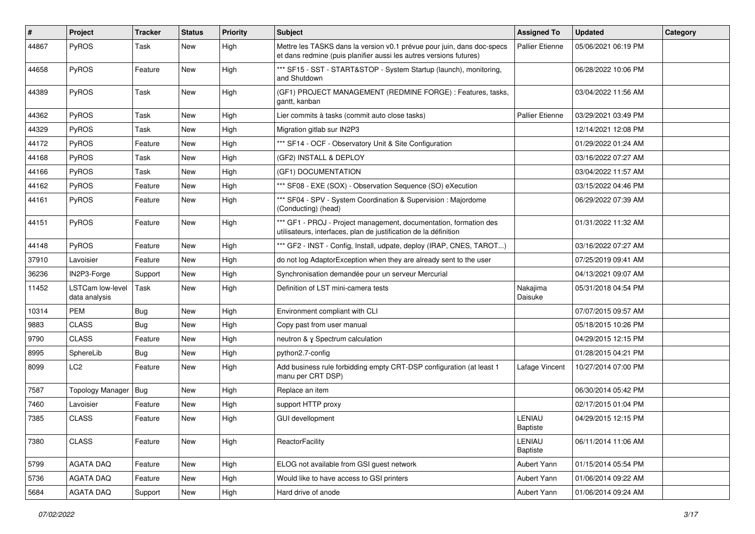| #     | Project                           | <b>Tracker</b> | <b>Status</b> | <b>Priority</b> | <b>Subject</b>                                                                                                                               | <b>Assigned To</b>     | <b>Updated</b>      | Category |
|-------|-----------------------------------|----------------|---------------|-----------------|----------------------------------------------------------------------------------------------------------------------------------------------|------------------------|---------------------|----------|
| 44867 | PyROS                             | Task           | New           | High            | Mettre les TASKS dans la version v0.1 prévue pour juin, dans doc-specs<br>et dans redmine (puis planifier aussi les autres versions futures) | <b>Pallier Etienne</b> | 05/06/2021 06:19 PM |          |
| 44658 | PyROS                             | Feature        | <b>New</b>    | High            | *** SF15 - SST - START&STOP - System Startup (launch), monitoring,<br>and Shutdown                                                           |                        | 06/28/2022 10:06 PM |          |
| 44389 | PyROS                             | Task           | New           | High            | (GF1) PROJECT MANAGEMENT (REDMINE FORGE) : Features, tasks,<br>gantt, kanban                                                                 |                        | 03/04/2022 11:56 AM |          |
| 44362 | PyROS                             | Task           | New           | High            | Lier commits à tasks (commit auto close tasks)                                                                                               | <b>Pallier Etienne</b> | 03/29/2021 03:49 PM |          |
| 44329 | PyROS                             | Task           | New           | High            | Migration gitlab sur IN2P3                                                                                                                   |                        | 12/14/2021 12:08 PM |          |
| 44172 | PyROS                             | Feature        | New           | High            | *** SF14 - OCF - Observatory Unit & Site Configuration                                                                                       |                        | 01/29/2022 01:24 AM |          |
| 44168 | PyROS                             | Task           | New           | High            | (GF2) INSTALL & DEPLOY                                                                                                                       |                        | 03/16/2022 07:27 AM |          |
| 44166 | PyROS                             | Task           | New           | High            | (GF1) DOCUMENTATION                                                                                                                          |                        | 03/04/2022 11:57 AM |          |
| 44162 | PyROS                             | Feature        | New           | High            | *** SF08 - EXE (SOX) - Observation Sequence (SO) eXecution                                                                                   |                        | 03/15/2022 04:46 PM |          |
| 44161 | PyROS                             | Feature        | New           | High            | *** SF04 - SPV - System Coordination & Supervision : Majordome<br>(Conducting) (head)                                                        |                        | 06/29/2022 07:39 AM |          |
| 44151 | PyROS                             | Feature        | New           | High            | *** GF1 - PROJ - Project management, documentation, formation des<br>utilisateurs, interfaces, plan de justification de la définition        |                        | 01/31/2022 11:32 AM |          |
| 44148 | PyROS                             | Feature        | <b>New</b>    | High            | *** GF2 - INST - Config, Install, udpate, deploy (IRAP, CNES, TAROT)                                                                         |                        | 03/16/2022 07:27 AM |          |
| 37910 | Lavoisier                         | Feature        | New           | High            | do not log AdaptorException when they are already sent to the user                                                                           |                        | 07/25/2019 09:41 AM |          |
| 36236 | IN2P3-Forge                       | Support        | New           | High            | Synchronisation demandée pour un serveur Mercurial                                                                                           |                        | 04/13/2021 09:07 AM |          |
| 11452 | LSTCam low-level<br>data analysis | Task           | New           | High            | Definition of LST mini-camera tests                                                                                                          | Nakajima<br>Daisuke    | 05/31/2018 04:54 PM |          |
| 10314 | PEM                               | <b>Bug</b>     | New           | High            | Environment compliant with CLI                                                                                                               |                        | 07/07/2015 09:57 AM |          |
| 9883  | <b>CLASS</b>                      | Bug            | New           | High            | Copy past from user manual                                                                                                                   |                        | 05/18/2015 10:26 PM |          |
| 9790  | <b>CLASS</b>                      | Feature        | New           | High            | neutron & γ Spectrum calculation                                                                                                             |                        | 04/29/2015 12:15 PM |          |
| 8995  | SphereLib                         | Bug            | New           | High            | python2.7-config                                                                                                                             |                        | 01/28/2015 04:21 PM |          |
| 8099  | LC <sub>2</sub>                   | Feature        | New           | High            | Add business rule forbidding empty CRT-DSP configuration (at least 1<br>manu per CRT DSP)                                                    | Lafage Vincent         | 10/27/2014 07:00 PM |          |
| 7587  | Topology Manager   Bug            |                | New           | High            | Replace an item                                                                                                                              |                        | 06/30/2014 05:42 PM |          |
| 7460  | Lavoisier                         | Feature        | New           | High            | support HTTP proxy                                                                                                                           |                        | 02/17/2015 01:04 PM |          |
| 7385  | <b>CLASS</b>                      | Feature        | New           | High            | <b>GUI devellopment</b>                                                                                                                      | LENIAU<br>Baptiste     | 04/29/2015 12:15 PM |          |
| 7380  | <b>CLASS</b>                      | Feature        | New           | High            | ReactorFacility                                                                                                                              | LENIAU<br>Baptiste     | 06/11/2014 11:06 AM |          |
| 5799  | AGATA DAQ                         | Feature        | New           | High            | ELOG not available from GSI guest network                                                                                                    | Aubert Yann            | 01/15/2014 05:54 PM |          |
| 5736  | AGATA DAQ                         | Feature        | New           | High            | Would like to have access to GSI printers                                                                                                    | Aubert Yann            | 01/06/2014 09:22 AM |          |
| 5684  | AGATA DAQ                         | Support        | New           | High            | Hard drive of anode                                                                                                                          | Aubert Yann            | 01/06/2014 09:24 AM |          |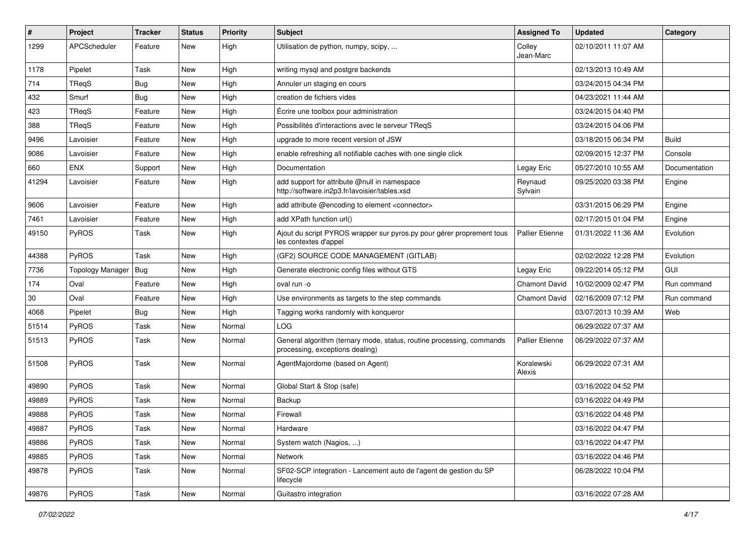| $\pmb{\#}$ | Project                 | <b>Tracker</b> | <b>Status</b> | <b>Priority</b> | <b>Subject</b>                                                                                           | <b>Assigned To</b>     | <b>Updated</b>      | Category      |
|------------|-------------------------|----------------|---------------|-----------------|----------------------------------------------------------------------------------------------------------|------------------------|---------------------|---------------|
| 1299       | <b>APCScheduler</b>     | Feature        | New           | High            | Utilisation de python, numpy, scipy,                                                                     | Colley<br>Jean-Marc    | 02/10/2011 11:07 AM |               |
| 1178       | Pipelet                 | Task           | <b>New</b>    | High            | writing mysql and postgre backends                                                                       |                        | 02/13/2013 10:49 AM |               |
| 714        | TReqS                   | Bug            | <b>New</b>    | High            | Annuler un staging en cours                                                                              |                        | 03/24/2015 04:34 PM |               |
| 432        | Smurf                   | Bug            | New           | High            | creation de fichiers vides                                                                               |                        | 04/23/2021 11:44 AM |               |
| 423        | TReqS                   | Feature        | <b>New</b>    | High            | Écrire une toolbox pour administration                                                                   |                        | 03/24/2015 04:40 PM |               |
| 388        | <b>TReqS</b>            | Feature        | <b>New</b>    | High            | Possibilités d'interactions avec le serveur TReqS                                                        |                        | 03/24/2015 04:06 PM |               |
| 9496       | Lavoisier               | Feature        | <b>New</b>    | High            | upgrade to more recent version of JSW                                                                    |                        | 03/18/2015 06:34 PM | <b>Build</b>  |
| 9086       | Lavoisier               | Feature        | New           | High            | enable refreshing all notifiable caches with one single click                                            |                        | 02/09/2015 12:37 PM | Console       |
| 660        | <b>ENX</b>              | Support        | <b>New</b>    | High            | Documentation                                                                                            | Legay Eric             | 05/27/2010 10:55 AM | Documentation |
| 41294      | Lavoisier               | Feature        | <b>New</b>    | High            | add support for attribute @null in namespace<br>http://software.in2p3.fr/lavoisier/tables.xsd            | Reynaud<br>Sylvain     | 09/25/2020 03:38 PM | Engine        |
| 9606       | Lavoisier               | Feature        | <b>New</b>    | High            | add attribute @encoding to element <connector></connector>                                               |                        | 03/31/2015 06:29 PM | Engine        |
| 7461       | Lavoisier               | Feature        | <b>New</b>    | High            | add XPath function url()                                                                                 |                        | 02/17/2015 01:04 PM | Engine        |
| 49150      | PyROS                   | Task           | <b>New</b>    | High            | Ajout du script PYROS wrapper sur pyros.py pour gérer proprement tous<br>les contextes d'appel           | <b>Pallier Etienne</b> | 01/31/2022 11:36 AM | Evolution     |
| 44388      | PyROS                   | Task           | New           | High            | (GF2) SOURCE CODE MANAGEMENT (GITLAB)                                                                    |                        | 02/02/2022 12:28 PM | Evolution     |
| 7736       | <b>Topology Manager</b> | <b>Bug</b>     | <b>New</b>    | High            | Generate electronic config files without GTS                                                             | Legay Eric             | 09/22/2014 05:12 PM | GUI           |
| 174        | Oval                    | Feature        | <b>New</b>    | High            | oval run -o                                                                                              | <b>Chamont David</b>   | 10/02/2009 02:47 PM | Run command   |
| 30         | Oval                    | Feature        | <b>New</b>    | High            | Use environments as targets to the step commands                                                         | <b>Chamont David</b>   | 02/16/2009 07:12 PM | Run command   |
| 4068       | Pipelet                 | Bug            | <b>New</b>    | High            | Tagging works randomly with konqueror                                                                    |                        | 03/07/2013 10:39 AM | Web           |
| 51514      | PyROS                   | Task           | New           | Normal          | LOG                                                                                                      |                        | 06/29/2022 07:37 AM |               |
| 51513      | PyROS                   | Task           | <b>New</b>    | Normal          | General algorithm (ternary mode, status, routine processing, commands<br>processing, exceptions dealing) | Pallier Etienne        | 06/29/2022 07:37 AM |               |
| 51508      | PyROS                   | Task           | New           | Normal          | AgentMajordome (based on Agent)                                                                          | Koralewski<br>Alexis   | 06/29/2022 07:31 AM |               |
| 49890      | PyROS                   | Task           | <b>New</b>    | Normal          | Global Start & Stop (safe)                                                                               |                        | 03/16/2022 04:52 PM |               |
| 49889      | PyROS                   | Task           | <b>New</b>    | Normal          | Backup                                                                                                   |                        | 03/16/2022 04:49 PM |               |
| 49888      | PyROS                   | Task           | <b>New</b>    | Normal          | Firewall                                                                                                 |                        | 03/16/2022 04:48 PM |               |
| 49887      | PyROS                   | Task           | New           | Normal          | Hardware                                                                                                 |                        | 03/16/2022 04:47 PM |               |
| 49886      | PyROS                   | Task           | New           | Normal          | System watch (Nagios, )                                                                                  |                        | 03/16/2022 04:47 PM |               |
| 49885      | PyROS                   | Task           | New           | Normal          | Network                                                                                                  |                        | 03/16/2022 04:46 PM |               |
| 49878      | PyROS                   | Task           | New           | Normal          | SF02-SCP integration - Lancement auto de l'agent de gestion du SP<br>lifecycle                           |                        | 06/28/2022 10:04 PM |               |
| 49876      | PyROS                   | Task           | New           | Normal          | Guitastro integration                                                                                    |                        | 03/16/2022 07:28 AM |               |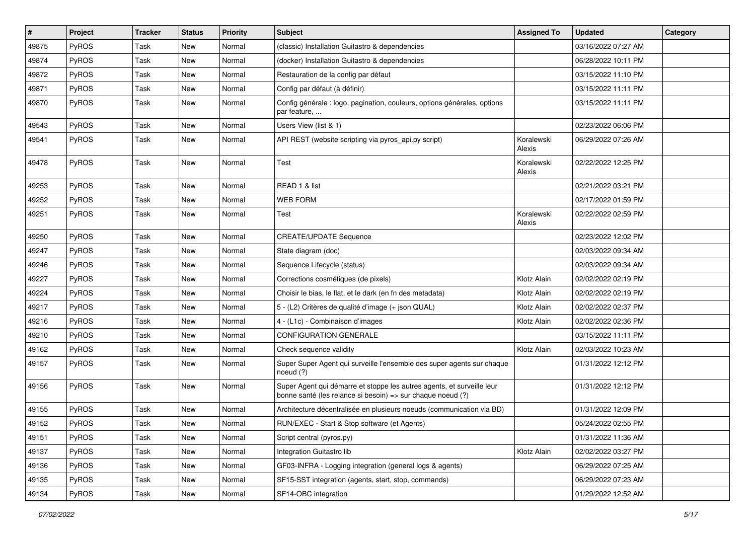| #     | Project      | <b>Tracker</b> | <b>Status</b> | <b>Priority</b> | <b>Subject</b>                                                                                                                        | <b>Assigned To</b>   | <b>Updated</b>      | Category |
|-------|--------------|----------------|---------------|-----------------|---------------------------------------------------------------------------------------------------------------------------------------|----------------------|---------------------|----------|
| 49875 | PyROS        | Task           | <b>New</b>    | Normal          | (classic) Installation Guitastro & dependencies                                                                                       |                      | 03/16/2022 07:27 AM |          |
| 49874 | PyROS        | Task           | New           | Normal          | (docker) Installation Guitastro & dependencies                                                                                        |                      | 06/28/2022 10:11 PM |          |
| 49872 | PyROS        | Task           | New           | Normal          | Restauration de la config par défaut                                                                                                  |                      | 03/15/2022 11:10 PM |          |
| 49871 | PyROS        | Task           | <b>New</b>    | Normal          | Config par défaut (à définir)                                                                                                         |                      | 03/15/2022 11:11 PM |          |
| 49870 | PyROS        | Task           | New           | Normal          | Config générale : logo, pagination, couleurs, options générales, options<br>par feature,                                              |                      | 03/15/2022 11:11 PM |          |
| 49543 | PyROS        | Task           | New           | Normal          | Users View (list & 1)                                                                                                                 |                      | 02/23/2022 06:06 PM |          |
| 49541 | PyROS        | Task           | New           | Normal          | API REST (website scripting via pyros_api.py script)                                                                                  | Koralewski<br>Alexis | 06/29/2022 07:26 AM |          |
| 49478 | PyROS        | Task           | New           | Normal          | Test                                                                                                                                  | Koralewski<br>Alexis | 02/22/2022 12:25 PM |          |
| 49253 | PyROS        | Task           | New           | Normal          | READ 1 & list                                                                                                                         |                      | 02/21/2022 03:21 PM |          |
| 49252 | <b>PyROS</b> | Task           | <b>New</b>    | Normal          | <b>WEB FORM</b>                                                                                                                       |                      | 02/17/2022 01:59 PM |          |
| 49251 | PyROS        | Task           | New           | Normal          | Test                                                                                                                                  | Koralewski<br>Alexis | 02/22/2022 02:59 PM |          |
| 49250 | PyROS        | Task           | New           | Normal          | <b>CREATE/UPDATE Sequence</b>                                                                                                         |                      | 02/23/2022 12:02 PM |          |
| 49247 | PyROS        | Task           | <b>New</b>    | Normal          | State diagram (doc)                                                                                                                   |                      | 02/03/2022 09:34 AM |          |
| 49246 | PyROS        | Task           | New           | Normal          | Sequence Lifecycle (status)                                                                                                           |                      | 02/03/2022 09:34 AM |          |
| 49227 | PyROS        | Task           | <b>New</b>    | Normal          | Corrections cosmétiques (de pixels)                                                                                                   | Klotz Alain          | 02/02/2022 02:19 PM |          |
| 49224 | PyROS        | Task           | New           | Normal          | Choisir le bias, le flat, et le dark (en fn des metadata)                                                                             | Klotz Alain          | 02/02/2022 02:19 PM |          |
| 49217 | PyROS        | Task           | New           | Normal          | 5 - (L2) Critères de qualité d'image (+ json QUAL)                                                                                    | Klotz Alain          | 02/02/2022 02:37 PM |          |
| 49216 | PyROS        | Task           | <b>New</b>    | Normal          | 4 - (L1c) - Combinaison d'images                                                                                                      | Klotz Alain          | 02/02/2022 02:36 PM |          |
| 49210 | PyROS        | Task           | New           | Normal          | CONFIGURATION GENERALE                                                                                                                |                      | 03/15/2022 11:11 PM |          |
| 49162 | PyROS        | Task           | New           | Normal          | Check sequence validity                                                                                                               | Klotz Alain          | 02/03/2022 10:23 AM |          |
| 49157 | PyROS        | Task           | New           | Normal          | Super Super Agent qui surveille l'ensemble des super agents sur chaque<br>noeud (?)                                                   |                      | 01/31/2022 12:12 PM |          |
| 49156 | PyROS        | Task           | New           | Normal          | Super Agent qui démarre et stoppe les autres agents, et surveille leur<br>bonne santé (les relance si besoin) => sur chaque noeud (?) |                      | 01/31/2022 12:12 PM |          |
| 49155 | <b>PyROS</b> | Task           | New           | Normal          | Architecture décentralisée en plusieurs noeuds (communication via BD)                                                                 |                      | 01/31/2022 12:09 PM |          |
| 49152 | <b>PyROS</b> | Task           | New           | Normal          | RUN/EXEC - Start & Stop software (et Agents)                                                                                          |                      | 05/24/2022 02:55 PM |          |
| 49151 | PyROS        | Task           | New           | Normal          | Script central (pyros.py)                                                                                                             |                      | 01/31/2022 11:36 AM |          |
| 49137 | PyROS        | Task           | New           | Normal          | Integration Guitastro lib                                                                                                             | Klotz Alain          | 02/02/2022 03:27 PM |          |
| 49136 | PyROS        | Task           | New           | Normal          | GF03-INFRA - Logging integration (general logs & agents)                                                                              |                      | 06/29/2022 07:25 AM |          |
| 49135 | PyROS        | Task           | New           | Normal          | SF15-SST integration (agents, start, stop, commands)                                                                                  |                      | 06/29/2022 07:23 AM |          |
| 49134 | PyROS        | Task           | New           | Normal          | SF14-OBC integration                                                                                                                  |                      | 01/29/2022 12:52 AM |          |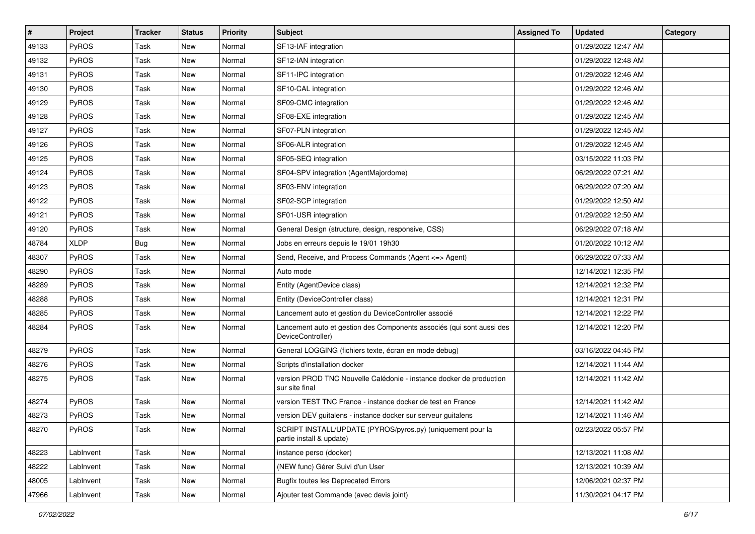| $\#$  | Project      | <b>Tracker</b> | <b>Status</b> | <b>Priority</b> | Subject                                                                                    | <b>Assigned To</b> | <b>Updated</b>      | Category |
|-------|--------------|----------------|---------------|-----------------|--------------------------------------------------------------------------------------------|--------------------|---------------------|----------|
| 49133 | PyROS        | Task           | New           | Normal          | SF13-IAF integration                                                                       |                    | 01/29/2022 12:47 AM |          |
| 49132 | PyROS        | Task           | New           | Normal          | SF12-IAN integration                                                                       |                    | 01/29/2022 12:48 AM |          |
| 49131 | PyROS        | Task           | New           | Normal          | SF11-IPC integration                                                                       |                    | 01/29/2022 12:46 AM |          |
| 49130 | PyROS        | Task           | New           | Normal          | SF10-CAL integration                                                                       |                    | 01/29/2022 12:46 AM |          |
| 49129 | PyROS        | Task           | New           | Normal          | SF09-CMC integration                                                                       |                    | 01/29/2022 12:46 AM |          |
| 49128 | PyROS        | Task           | New           | Normal          | SF08-EXE integration                                                                       |                    | 01/29/2022 12:45 AM |          |
| 49127 | PyROS        | Task           | <b>New</b>    | Normal          | SF07-PLN integration                                                                       |                    | 01/29/2022 12:45 AM |          |
| 49126 | PyROS        | Task           | New           | Normal          | SF06-ALR integration                                                                       |                    | 01/29/2022 12:45 AM |          |
| 49125 | PyROS        | Task           | New           | Normal          | SF05-SEQ integration                                                                       |                    | 03/15/2022 11:03 PM |          |
| 49124 | PyROS        | Task           | New           | Normal          | SF04-SPV integration (AgentMajordome)                                                      |                    | 06/29/2022 07:21 AM |          |
| 49123 | PyROS        | Task           | New           | Normal          | SF03-ENV integration                                                                       |                    | 06/29/2022 07:20 AM |          |
| 49122 | PyROS        | Task           | New           | Normal          | SF02-SCP integration                                                                       |                    | 01/29/2022 12:50 AM |          |
| 49121 | PyROS        | Task           | New           | Normal          | SF01-USR integration                                                                       |                    | 01/29/2022 12:50 AM |          |
| 49120 | PyROS        | Task           | New           | Normal          | General Design (structure, design, responsive, CSS)                                        |                    | 06/29/2022 07:18 AM |          |
| 48784 | <b>XLDP</b>  | <b>Bug</b>     | New           | Normal          | Jobs en erreurs depuis le 19/01 19h30                                                      |                    | 01/20/2022 10:12 AM |          |
| 48307 | PyROS        | Task           | New           | Normal          | Send, Receive, and Process Commands (Agent <= > Agent)                                     |                    | 06/29/2022 07:33 AM |          |
| 48290 | PyROS        | Task           | New           | Normal          | Auto mode                                                                                  |                    | 12/14/2021 12:35 PM |          |
| 48289 | PyROS        | Task           | New           | Normal          | Entity (AgentDevice class)                                                                 |                    | 12/14/2021 12:32 PM |          |
| 48288 | PyROS        | Task           | New           | Normal          | Entity (DeviceController class)                                                            |                    | 12/14/2021 12:31 PM |          |
| 48285 | PyROS        | Task           | New           | Normal          | Lancement auto et gestion du DeviceController associé                                      |                    | 12/14/2021 12:22 PM |          |
| 48284 | <b>PyROS</b> | Task           | New           | Normal          | Lancement auto et gestion des Components associés (qui sont aussi des<br>DeviceController) |                    | 12/14/2021 12:20 PM |          |
| 48279 | PyROS        | Task           | New           | Normal          | General LOGGING (fichiers texte, écran en mode debug)                                      |                    | 03/16/2022 04:45 PM |          |
| 48276 | PyROS        | Task           | New           | Normal          | Scripts d'installation docker                                                              |                    | 12/14/2021 11:44 AM |          |
| 48275 | PyROS        | Task           | New           | Normal          | version PROD TNC Nouvelle Calédonie - instance docker de production<br>sur site final      |                    | 12/14/2021 11:42 AM |          |
| 48274 | PyROS        | Task           | New           | Normal          | version TEST TNC France - instance docker de test en France                                |                    | 12/14/2021 11:42 AM |          |
| 48273 | PyROS        | Task           | <b>New</b>    | Normal          | version DEV guitalens - instance docker sur serveur guitalens                              |                    | 12/14/2021 11:46 AM |          |
| 48270 | PyROS        | Task           | New           | Normal          | SCRIPT INSTALL/UPDATE (PYROS/pyros.py) (uniquement pour la<br>partie install & update)     |                    | 02/23/2022 05:57 PM |          |
| 48223 | LabInvent    | Task           | New           | Normal          | instance perso (docker)                                                                    |                    | 12/13/2021 11:08 AM |          |
| 48222 | LabInvent    | Task           | New           | Normal          | (NEW func) Gérer Suivi d'un User                                                           |                    | 12/13/2021 10:39 AM |          |
| 48005 | LabInvent    | Task           | New           | Normal          | <b>Bugfix toutes les Deprecated Errors</b>                                                 |                    | 12/06/2021 02:37 PM |          |
| 47966 | LabInvent    | Task           | New           | Normal          | Ajouter test Commande (avec devis joint)                                                   |                    | 11/30/2021 04:17 PM |          |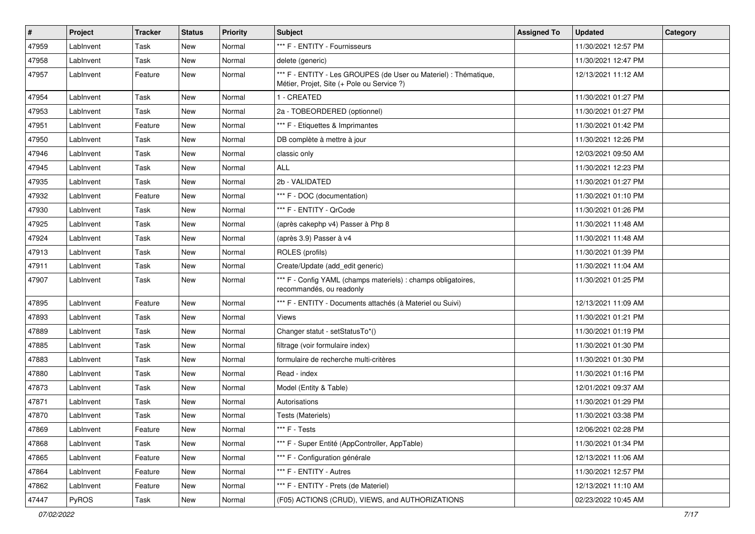| $\pmb{\#}$ | Project   | <b>Tracker</b> | <b>Status</b> | <b>Priority</b> | <b>Subject</b>                                                                                                 | <b>Assigned To</b> | <b>Updated</b>      | Category |
|------------|-----------|----------------|---------------|-----------------|----------------------------------------------------------------------------------------------------------------|--------------------|---------------------|----------|
| 47959      | LabInvent | Task           | <b>New</b>    | Normal          | *** F - ENTITY - Fournisseurs                                                                                  |                    | 11/30/2021 12:57 PM |          |
| 47958      | LabInvent | Task           | New           | Normal          | delete (generic)                                                                                               |                    | 11/30/2021 12:47 PM |          |
| 47957      | LabInvent | Feature        | <b>New</b>    | Normal          | *** F - ENTITY - Les GROUPES (de User ou Materiel) : Thématique,<br>Métier, Projet, Site (+ Pole ou Service ?) |                    | 12/13/2021 11:12 AM |          |
| 47954      | LabInvent | Task           | <b>New</b>    | Normal          | 1 - CREATED                                                                                                    |                    | 11/30/2021 01:27 PM |          |
| 47953      | LabInvent | Task           | <b>New</b>    | Normal          | 2a - TOBEORDERED (optionnel)                                                                                   |                    | 11/30/2021 01:27 PM |          |
| 47951      | LabInvent | Feature        | <b>New</b>    | Normal          | *** F - Etiquettes & Imprimantes                                                                               |                    | 11/30/2021 01:42 PM |          |
| 47950      | LabInvent | Task           | New           | Normal          | DB complète à mettre à jour                                                                                    |                    | 11/30/2021 12:26 PM |          |
| 47946      | LabInvent | Task           | New           | Normal          | classic only                                                                                                   |                    | 12/03/2021 09:50 AM |          |
| 47945      | LabInvent | Task           | <b>New</b>    | Normal          | <b>ALL</b>                                                                                                     |                    | 11/30/2021 12:23 PM |          |
| 47935      | LabInvent | Task           | <b>New</b>    | Normal          | 2b - VALIDATED                                                                                                 |                    | 11/30/2021 01:27 PM |          |
| 47932      | LabInvent | Feature        | <b>New</b>    | Normal          | *** F - DOC (documentation)                                                                                    |                    | 11/30/2021 01:10 PM |          |
| 47930      | LabInvent | Task           | New           | Normal          | *** F - ENTITY - OrCode                                                                                        |                    | 11/30/2021 01:26 PM |          |
| 47925      | LabInvent | Task           | New           | Normal          | (après cakephp v4) Passer à Php 8                                                                              |                    | 11/30/2021 11:48 AM |          |
| 47924      | LabInvent | Task           | <b>New</b>    | Normal          | (après 3.9) Passer à v4                                                                                        |                    | 11/30/2021 11:48 AM |          |
| 47913      | LabInvent | Task           | <b>New</b>    | Normal          | ROLES (profils)                                                                                                |                    | 11/30/2021 01:39 PM |          |
| 47911      | LabInvent | Task           | New           | Normal          | Create/Update (add edit generic)                                                                               |                    | 11/30/2021 11:04 AM |          |
| 47907      | LabInvent | Task           | New           | Normal          | *** F - Config YAML (champs materiels) : champs obligatoires,<br>recommandés, ou readonly                      |                    | 11/30/2021 01:25 PM |          |
| 47895      | LabInvent | Feature        | <b>New</b>    | Normal          | *** F - ENTITY - Documents attachés (à Materiel ou Suivi)                                                      |                    | 12/13/2021 11:09 AM |          |
| 47893      | LabInvent | Task           | New           | Normal          | Views                                                                                                          |                    | 11/30/2021 01:21 PM |          |
| 47889      | LabInvent | Task           | New           | Normal          | Changer statut - setStatusTo*()                                                                                |                    | 11/30/2021 01:19 PM |          |
| 47885      | LabInvent | Task           | <b>New</b>    | Normal          | filtrage (voir formulaire index)                                                                               |                    | 11/30/2021 01:30 PM |          |
| 47883      | LabInvent | Task           | <b>New</b>    | Normal          | formulaire de recherche multi-critères                                                                         |                    | 11/30/2021 01:30 PM |          |
| 47880      | LabInvent | Task           | New           | Normal          | Read - index                                                                                                   |                    | 11/30/2021 01:16 PM |          |
| 47873      | LabInvent | Task           | New           | Normal          | Model (Entity & Table)                                                                                         |                    | 12/01/2021 09:37 AM |          |
| 47871      | LabInvent | Task           | New           | Normal          | Autorisations                                                                                                  |                    | 11/30/2021 01:29 PM |          |
| 47870      | LabInvent | Task           | <b>New</b>    | Normal          | Tests (Materiels)                                                                                              |                    | 11/30/2021 03:38 PM |          |
| 47869      | LabInvent | Feature        | New           | Normal          | *** F - Tests                                                                                                  |                    | 12/06/2021 02:28 PM |          |
| 47868      | LabInvent | Task           | New           | Normal          | *** F - Super Entité (AppController, AppTable)                                                                 |                    | 11/30/2021 01:34 PM |          |
| 47865      | LabInvent | Feature        | New           | Normal          | *** F - Configuration générale                                                                                 |                    | 12/13/2021 11:06 AM |          |
| 47864      | LabInvent | Feature        | New           | Normal          | *** F - ENTITY - Autres                                                                                        |                    | 11/30/2021 12:57 PM |          |
| 47862      | LabInvent | Feature        | New           | Normal          | *** F - ENTITY - Prets (de Materiel)                                                                           |                    | 12/13/2021 11:10 AM |          |
| 47447      | PyROS     | Task           | New           | Normal          | (F05) ACTIONS (CRUD), VIEWS, and AUTHORIZATIONS                                                                |                    | 02/23/2022 10:45 AM |          |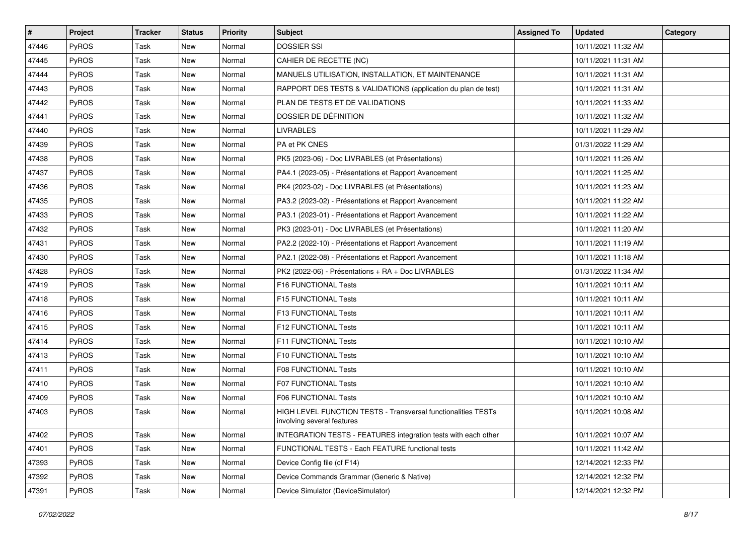| $\vert$ # | Project      | <b>Tracker</b> | <b>Status</b> | <b>Priority</b> | <b>Subject</b>                                                                              | <b>Assigned To</b> | Updated             | Category |
|-----------|--------------|----------------|---------------|-----------------|---------------------------------------------------------------------------------------------|--------------------|---------------------|----------|
| 47446     | PyROS        | Task           | <b>New</b>    | Normal          | <b>DOSSIER SSI</b>                                                                          |                    | 10/11/2021 11:32 AM |          |
| 47445     | <b>PyROS</b> | Task           | New           | Normal          | CAHIER DE RECETTE (NC)                                                                      |                    | 10/11/2021 11:31 AM |          |
| 47444     | PyROS        | Task           | <b>New</b>    | Normal          | MANUELS UTILISATION, INSTALLATION, ET MAINTENANCE                                           |                    | 10/11/2021 11:31 AM |          |
| 47443     | PyROS        | Task           | New           | Normal          | RAPPORT DES TESTS & VALIDATIONS (application du plan de test)                               |                    | 10/11/2021 11:31 AM |          |
| 47442     | PyROS        | Task           | <b>New</b>    | Normal          | PLAN DE TESTS ET DE VALIDATIONS                                                             |                    | 10/11/2021 11:33 AM |          |
| 47441     | PyROS        | Task           | New           | Normal          | DOSSIER DE DÉFINITION                                                                       |                    | 10/11/2021 11:32 AM |          |
| 47440     | PyROS        | Task           | <b>New</b>    | Normal          | <b>LIVRABLES</b>                                                                            |                    | 10/11/2021 11:29 AM |          |
| 47439     | PyROS        | Task           | New           | Normal          | PA et PK CNES                                                                               |                    | 01/31/2022 11:29 AM |          |
| 47438     | PyROS        | Task           | New           | Normal          | PK5 (2023-06) - Doc LIVRABLES (et Présentations)                                            |                    | 10/11/2021 11:26 AM |          |
| 47437     | PyROS        | Task           | <b>New</b>    | Normal          | PA4.1 (2023-05) - Présentations et Rapport Avancement                                       |                    | 10/11/2021 11:25 AM |          |
| 47436     | PyROS        | Task           | New           | Normal          | PK4 (2023-02) - Doc LIVRABLES (et Présentations)                                            |                    | 10/11/2021 11:23 AM |          |
| 47435     | PyROS        | Task           | <b>New</b>    | Normal          | PA3.2 (2023-02) - Présentations et Rapport Avancement                                       |                    | 10/11/2021 11:22 AM |          |
| 47433     | PyROS        | Task           | New           | Normal          | PA3.1 (2023-01) - Présentations et Rapport Avancement                                       |                    | 10/11/2021 11:22 AM |          |
| 47432     | PyROS        | Task           | <b>New</b>    | Normal          | PK3 (2023-01) - Doc LIVRABLES (et Présentations)                                            |                    | 10/11/2021 11:20 AM |          |
| 47431     | PyROS        | Task           | New           | Normal          | PA2.2 (2022-10) - Présentations et Rapport Avancement                                       |                    | 10/11/2021 11:19 AM |          |
| 47430     | <b>PyROS</b> | Task           | <b>New</b>    | Normal          | PA2.1 (2022-08) - Présentations et Rapport Avancement                                       |                    | 10/11/2021 11:18 AM |          |
| 47428     | PyROS        | Task           | New           | Normal          | PK2 (2022-06) - Présentations + RA + Doc LIVRABLES                                          |                    | 01/31/2022 11:34 AM |          |
| 47419     | PyROS        | Task           | New           | Normal          | F16 FUNCTIONAL Tests                                                                        |                    | 10/11/2021 10:11 AM |          |
| 47418     | PyROS        | Task           | <b>New</b>    | Normal          | F15 FUNCTIONAL Tests                                                                        |                    | 10/11/2021 10:11 AM |          |
| 47416     | PyROS        | Task           | New           | Normal          | F13 FUNCTIONAL Tests                                                                        |                    | 10/11/2021 10:11 AM |          |
| 47415     | PyROS        | Task           | New           | Normal          | F12 FUNCTIONAL Tests                                                                        |                    | 10/11/2021 10:11 AM |          |
| 47414     | PyROS        | Task           | New           | Normal          | F11 FUNCTIONAL Tests                                                                        |                    | 10/11/2021 10:10 AM |          |
| 47413     | PyROS        | Task           | <b>New</b>    | Normal          | F10 FUNCTIONAL Tests                                                                        |                    | 10/11/2021 10:10 AM |          |
| 47411     | PyROS        | Task           | New           | Normal          | F08 FUNCTIONAL Tests                                                                        |                    | 10/11/2021 10:10 AM |          |
| 47410     | PyROS        | Task           | <b>New</b>    | Normal          | F07 FUNCTIONAL Tests                                                                        |                    | 10/11/2021 10:10 AM |          |
| 47409     | PyROS        | Task           | New           | Normal          | F06 FUNCTIONAL Tests                                                                        |                    | 10/11/2021 10:10 AM |          |
| 47403     | PyROS        | Task           | New           | Normal          | HIGH LEVEL FUNCTION TESTS - Transversal functionalities TESTs<br>involving several features |                    | 10/11/2021 10:08 AM |          |
| 47402     | <b>PyROS</b> | Task           | New           | Normal          | <b>INTEGRATION TESTS - FEATURES integration tests with each other</b>                       |                    | 10/11/2021 10:07 AM |          |
| 47401     | PyROS        | Task           | New           | Normal          | FUNCTIONAL TESTS - Each FEATURE functional tests                                            |                    | 10/11/2021 11:42 AM |          |
| 47393     | PyROS        | Task           | New           | Normal          | Device Config file (cf F14)                                                                 |                    | 12/14/2021 12:33 PM |          |
| 47392     | PyROS        | Task           | New           | Normal          | Device Commands Grammar (Generic & Native)                                                  |                    | 12/14/2021 12:32 PM |          |
| 47391     | PyROS        | Task           | New           | Normal          | Device Simulator (DeviceSimulator)                                                          |                    | 12/14/2021 12:32 PM |          |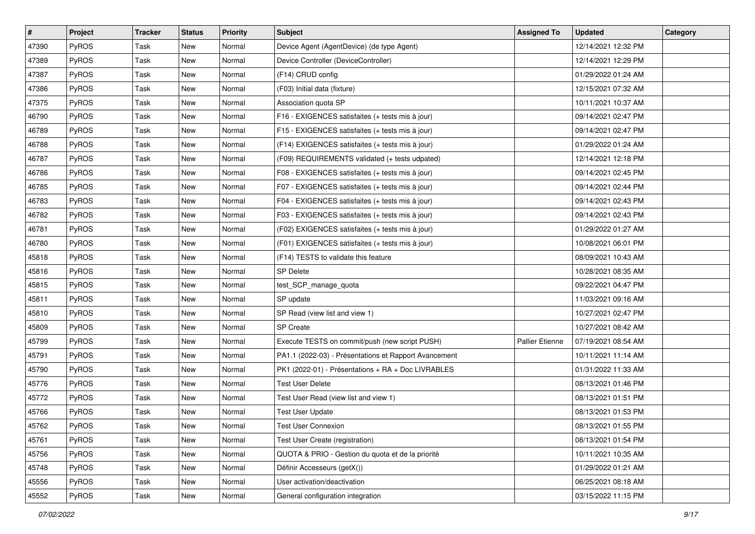| #     | Project      | <b>Tracker</b> | <b>Status</b> | <b>Priority</b> | <b>Subject</b>                                        | <b>Assigned To</b>     | <b>Updated</b>      | Category |
|-------|--------------|----------------|---------------|-----------------|-------------------------------------------------------|------------------------|---------------------|----------|
| 47390 | PyROS        | Task           | <b>New</b>    | Normal          | Device Agent (AgentDevice) (de type Agent)            |                        | 12/14/2021 12:32 PM |          |
| 47389 | PyROS        | Task           | <b>New</b>    | Normal          | Device Controller (DeviceController)                  |                        | 12/14/2021 12:29 PM |          |
| 47387 | <b>PyROS</b> | Task           | <b>New</b>    | Normal          | (F14) CRUD config                                     |                        | 01/29/2022 01:24 AM |          |
| 47386 | PyROS        | Task           | <b>New</b>    | Normal          | (F03) Initial data (fixture)                          |                        | 12/15/2021 07:32 AM |          |
| 47375 | PyROS        | Task           | <b>New</b>    | Normal          | Association quota SP                                  |                        | 10/11/2021 10:37 AM |          |
| 46790 | PyROS        | Task           | New           | Normal          | F16 - EXIGENCES satisfaites (+ tests mis à jour)      |                        | 09/14/2021 02:47 PM |          |
| 46789 | PyROS        | Task           | <b>New</b>    | Normal          | F15 - EXIGENCES satisfaites (+ tests mis à jour)      |                        | 09/14/2021 02:47 PM |          |
| 46788 | PyROS        | Task           | <b>New</b>    | Normal          | (F14) EXIGENCES satisfaites (+ tests mis à jour)      |                        | 01/29/2022 01:24 AM |          |
| 46787 | PyROS        | Task           | New           | Normal          | (F09) REQUIREMENTS validated (+ tests udpated)        |                        | 12/14/2021 12:18 PM |          |
| 46786 | PyROS        | Task           | <b>New</b>    | Normal          | F08 - EXIGENCES satisfaites (+ tests mis à jour)      |                        | 09/14/2021 02:45 PM |          |
| 46785 | PyROS        | Task           | New           | Normal          | F07 - EXIGENCES satisfaites (+ tests mis à jour)      |                        | 09/14/2021 02:44 PM |          |
| 46783 | PyROS        | Task           | <b>New</b>    | Normal          | F04 - EXIGENCES satisfaites (+ tests mis à jour)      |                        | 09/14/2021 02:43 PM |          |
| 46782 | PyROS        | Task           | New           | Normal          | F03 - EXIGENCES satisfaites (+ tests mis à jour)      |                        | 09/14/2021 02:43 PM |          |
| 46781 | PyROS        | Task           | <b>New</b>    | Normal          | (F02) EXIGENCES satisfaites (+ tests mis à jour)      |                        | 01/29/2022 01:27 AM |          |
| 46780 | PyROS        | Task           | <b>New</b>    | Normal          | (F01) EXIGENCES satisfaites (+ tests mis à jour)      |                        | 10/08/2021 06:01 PM |          |
| 45818 | <b>PyROS</b> | Task           | <b>New</b>    | Normal          | (F14) TESTS to validate this feature                  |                        | 08/09/2021 10:43 AM |          |
| 45816 | PyROS        | Task           | <b>New</b>    | Normal          | <b>SP Delete</b>                                      |                        | 10/28/2021 08:35 AM |          |
| 45815 | PyROS        | Task           | <b>New</b>    | Normal          | test_SCP_manage_quota                                 |                        | 09/22/2021 04:47 PM |          |
| 45811 | PyROS        | Task           | <b>New</b>    | Normal          | SP update                                             |                        | 11/03/2021 09:16 AM |          |
| 45810 | PyROS        | Task           | <b>New</b>    | Normal          | SP Read (view list and view 1)                        |                        | 10/27/2021 02:47 PM |          |
| 45809 | PyROS        | Task           | <b>New</b>    | Normal          | <b>SP Create</b>                                      |                        | 10/27/2021 08:42 AM |          |
| 45799 | PyROS        | Task           | <b>New</b>    | Normal          | Execute TESTS on commit/push (new script PUSH)        | <b>Pallier Etienne</b> | 07/19/2021 08:54 AM |          |
| 45791 | PyROS        | Task           | <b>New</b>    | Normal          | PA1.1 (2022-03) - Présentations et Rapport Avancement |                        | 10/11/2021 11:14 AM |          |
| 45790 | PyROS        | Task           | <b>New</b>    | Normal          | PK1 (2022-01) - Présentations + RA + Doc LIVRABLES    |                        | 01/31/2022 11:33 AM |          |
| 45776 | PyROS        | Task           | <b>New</b>    | Normal          | <b>Test User Delete</b>                               |                        | 08/13/2021 01:46 PM |          |
| 45772 | PyROS        | Task           | <b>New</b>    | Normal          | Test User Read (view list and view 1)                 |                        | 08/13/2021 01:51 PM |          |
| 45766 | PyROS        | Task           | <b>New</b>    | Normal          | <b>Test User Update</b>                               |                        | 08/13/2021 01:53 PM |          |
| 45762 | PyROS        | Task           | New           | Normal          | <b>Test User Connexion</b>                            |                        | 08/13/2021 01:55 PM |          |
| 45761 | PyROS        | Task           | New           | Normal          | Test User Create (registration)                       |                        | 08/13/2021 01:54 PM |          |
| 45756 | PyROS        | Task           | New           | Normal          | QUOTA & PRIO - Gestion du quota et de la priorité     |                        | 10/11/2021 10:35 AM |          |
| 45748 | PyROS        | Task           | New           | Normal          | Définir Accesseurs (getX())                           |                        | 01/29/2022 01:21 AM |          |
| 45556 | PyROS        | Task           | New           | Normal          | User activation/deactivation                          |                        | 06/25/2021 08:18 AM |          |
| 45552 | PyROS        | Task           | New           | Normal          | General configuration integration                     |                        | 03/15/2022 11:15 PM |          |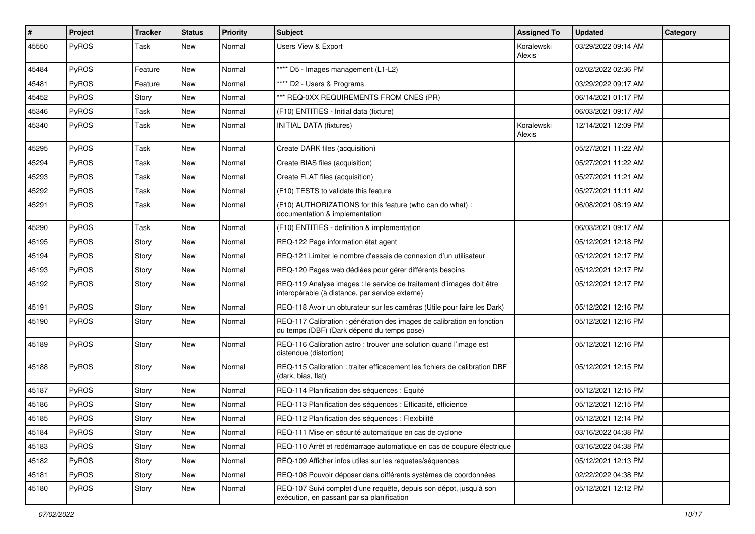| #     | Project | <b>Tracker</b> | <b>Status</b> | <b>Priority</b> | <b>Subject</b>                                                                                                          | <b>Assigned To</b>   | <b>Updated</b>      | <b>Category</b> |
|-------|---------|----------------|---------------|-----------------|-------------------------------------------------------------------------------------------------------------------------|----------------------|---------------------|-----------------|
| 45550 | PyROS   | Task           | <b>New</b>    | Normal          | Users View & Export                                                                                                     | Koralewski<br>Alexis | 03/29/2022 09:14 AM |                 |
| 45484 | PyROS   | Feature        | <b>New</b>    | Normal          | **** D5 - Images management (L1-L2)                                                                                     |                      | 02/02/2022 02:36 PM |                 |
| 45481 | PyROS   | Feature        | <b>New</b>    | Normal          | **** D2 - Users & Programs                                                                                              |                      | 03/29/2022 09:17 AM |                 |
| 45452 | PyROS   | Story          | <b>New</b>    | Normal          | *** REQ-0XX REQUIREMENTS FROM CNES (PR)                                                                                 |                      | 06/14/2021 01:17 PM |                 |
| 45346 | PyROS   | Task           | <b>New</b>    | Normal          | (F10) ENTITIES - Initial data (fixture)                                                                                 |                      | 06/03/2021 09:17 AM |                 |
| 45340 | PyROS   | Task           | <b>New</b>    | Normal          | <b>INITIAL DATA (fixtures)</b>                                                                                          | Koralewski<br>Alexis | 12/14/2021 12:09 PM |                 |
| 45295 | PyROS   | Task           | <b>New</b>    | Normal          | Create DARK files (acquisition)                                                                                         |                      | 05/27/2021 11:22 AM |                 |
| 45294 | PyROS   | Task           | <b>New</b>    | Normal          | Create BIAS files (acquisition)                                                                                         |                      | 05/27/2021 11:22 AM |                 |
| 45293 | PyROS   | Task           | <b>New</b>    | Normal          | Create FLAT files (acquisition)                                                                                         |                      | 05/27/2021 11:21 AM |                 |
| 45292 | PyROS   | Task           | <b>New</b>    | Normal          | (F10) TESTS to validate this feature                                                                                    |                      | 05/27/2021 11:11 AM |                 |
| 45291 | PyROS   | Task           | <b>New</b>    | Normal          | (F10) AUTHORIZATIONS for this feature (who can do what) :<br>documentation & implementation                             |                      | 06/08/2021 08:19 AM |                 |
| 45290 | PyROS   | Task           | <b>New</b>    | Normal          | (F10) ENTITIES - definition & implementation                                                                            |                      | 06/03/2021 09:17 AM |                 |
| 45195 | PyROS   | Story          | <b>New</b>    | Normal          | REQ-122 Page information état agent                                                                                     |                      | 05/12/2021 12:18 PM |                 |
| 45194 | PyROS   | Story          | <b>New</b>    | Normal          | REQ-121 Limiter le nombre d'essais de connexion d'un utilisateur                                                        |                      | 05/12/2021 12:17 PM |                 |
| 45193 | PyROS   | Story          | <b>New</b>    | Normal          | REQ-120 Pages web dédiées pour gérer différents besoins                                                                 |                      | 05/12/2021 12:17 PM |                 |
| 45192 | PyROS   | Story          | New           | Normal          | REQ-119 Analyse images : le service de traitement d'images doit être<br>interopérable (à distance, par service externe) |                      | 05/12/2021 12:17 PM |                 |
| 45191 | PyROS   | Story          | <b>New</b>    | Normal          | REQ-118 Avoir un obturateur sur les caméras (Utile pour faire les Dark)                                                 |                      | 05/12/2021 12:16 PM |                 |
| 45190 | PyROS   | Story          | New           | Normal          | REQ-117 Calibration : génération des images de calibration en fonction<br>du temps (DBF) (Dark dépend du temps pose)    |                      | 05/12/2021 12:16 PM |                 |
| 45189 | PyROS   | Story          | New           | Normal          | REQ-116 Calibration astro: trouver une solution quand l'image est<br>distendue (distortion)                             |                      | 05/12/2021 12:16 PM |                 |
| 45188 | PyROS   | Story          | New           | Normal          | REQ-115 Calibration : traiter efficacement les fichiers de calibration DBF<br>(dark, bias, flat)                        |                      | 05/12/2021 12:15 PM |                 |
| 45187 | PyROS   | Story          | <b>New</b>    | Normal          | REQ-114 Planification des séquences : Equité                                                                            |                      | 05/12/2021 12:15 PM |                 |
| 45186 | PyROS   | Story          | <b>New</b>    | Normal          | REQ-113 Planification des séquences : Efficacité, efficience                                                            |                      | 05/12/2021 12:15 PM |                 |
| 45185 | PyROS   | Story          | <b>New</b>    | Normal          | REQ-112 Planification des séquences : Flexibilité                                                                       |                      | 05/12/2021 12:14 PM |                 |
| 45184 | PyROS   | Story          | <b>New</b>    | Normal          | REQ-111 Mise en sécurité automatique en cas de cyclone                                                                  |                      | 03/16/2022 04:38 PM |                 |
| 45183 | PyROS   | Story          | New           | Normal          | REQ-110 Arrêt et redémarrage automatique en cas de coupure électrique                                                   |                      | 03/16/2022 04:38 PM |                 |
| 45182 | PyROS   | Story          | New           | Normal          | REQ-109 Afficher infos utiles sur les requetes/séquences                                                                |                      | 05/12/2021 12:13 PM |                 |
| 45181 | PyROS   | Story          | <b>New</b>    | Normal          | REQ-108 Pouvoir déposer dans différents systèmes de coordonnées                                                         |                      | 02/22/2022 04:38 PM |                 |
| 45180 | PyROS   | Story          | New           | Normal          | REQ-107 Suivi complet d'une requête, depuis son dépot, jusqu'à son<br>exécution, en passant par sa planification        |                      | 05/12/2021 12:12 PM |                 |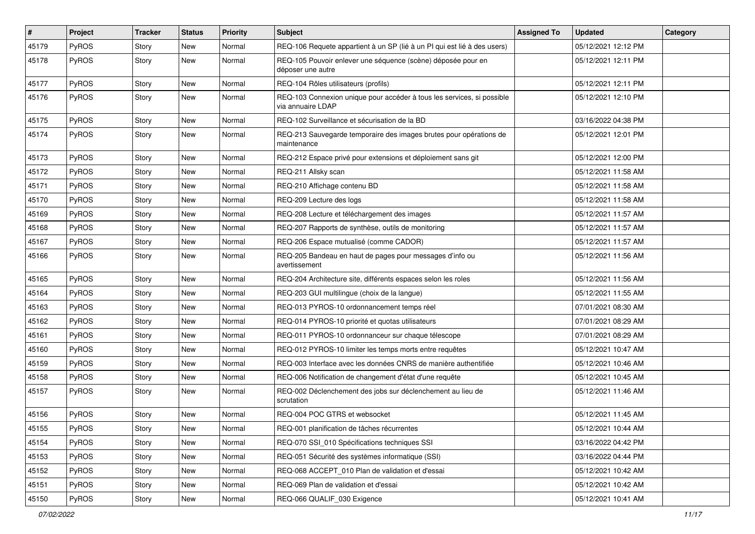| #     | Project      | <b>Tracker</b> | <b>Status</b> | <b>Priority</b> | <b>Subject</b>                                                                              | <b>Assigned To</b> | Updated             | Category |
|-------|--------------|----------------|---------------|-----------------|---------------------------------------------------------------------------------------------|--------------------|---------------------|----------|
| 45179 | PyROS        | Story          | <b>New</b>    | Normal          | REQ-106 Requete appartient à un SP (lié à un PI qui est lié à des users)                    |                    | 05/12/2021 12:12 PM |          |
| 45178 | PyROS        | Story          | New           | Normal          | REQ-105 Pouvoir enlever une séquence (scène) déposée pour en<br>déposer une autre           |                    | 05/12/2021 12:11 PM |          |
| 45177 | PyROS        | Story          | New           | Normal          | REQ-104 Rôles utilisateurs (profils)                                                        |                    | 05/12/2021 12:11 PM |          |
| 45176 | PyROS        | Story          | New           | Normal          | REQ-103 Connexion unique pour accéder à tous les services, si possible<br>via annuaire LDAP |                    | 05/12/2021 12:10 PM |          |
| 45175 | PyROS        | Story          | <b>New</b>    | Normal          | REQ-102 Surveillance et sécurisation de la BD                                               |                    | 03/16/2022 04:38 PM |          |
| 45174 | <b>PyROS</b> | Story          | New           | Normal          | REQ-213 Sauvegarde temporaire des images brutes pour opérations de<br>maintenance           |                    | 05/12/2021 12:01 PM |          |
| 45173 | PyROS        | Story          | <b>New</b>    | Normal          | REQ-212 Espace privé pour extensions et déploiement sans git                                |                    | 05/12/2021 12:00 PM |          |
| 45172 | <b>PyROS</b> | Story          | <b>New</b>    | Normal          | REQ-211 Allsky scan                                                                         |                    | 05/12/2021 11:58 AM |          |
| 45171 | PyROS        | Story          | New           | Normal          | REQ-210 Affichage contenu BD                                                                |                    | 05/12/2021 11:58 AM |          |
| 45170 | PyROS        | Story          | <b>New</b>    | Normal          | REQ-209 Lecture des logs                                                                    |                    | 05/12/2021 11:58 AM |          |
| 45169 | <b>PyROS</b> | Story          | New           | Normal          | REQ-208 Lecture et téléchargement des images                                                |                    | 05/12/2021 11:57 AM |          |
| 45168 | PyROS        | Story          | <b>New</b>    | Normal          | REQ-207 Rapports de synthèse, outils de monitoring                                          |                    | 05/12/2021 11:57 AM |          |
| 45167 | PyROS        | Story          | New           | Normal          | REQ-206 Espace mutualisé (comme CADOR)                                                      |                    | 05/12/2021 11:57 AM |          |
| 45166 | PyROS        | Story          | New           | Normal          | REQ-205 Bandeau en haut de pages pour messages d'info ou<br>avertissement                   |                    | 05/12/2021 11:56 AM |          |
| 45165 | PyROS        | Story          | New           | Normal          | REQ-204 Architecture site, différents espaces selon les roles                               |                    | 05/12/2021 11:56 AM |          |
| 45164 | PyROS        | Story          | New           | Normal          | REQ-203 GUI multilingue (choix de la langue)                                                |                    | 05/12/2021 11:55 AM |          |
| 45163 | PyROS        | Story          | New           | Normal          | REQ-013 PYROS-10 ordonnancement temps réel                                                  |                    | 07/01/2021 08:30 AM |          |
| 45162 | PyROS        | Story          | New           | Normal          | REQ-014 PYROS-10 priorité et quotas utilisateurs                                            |                    | 07/01/2021 08:29 AM |          |
| 45161 | PyROS        | Story          | <b>New</b>    | Normal          | REQ-011 PYROS-10 ordonnanceur sur chaque télescope                                          |                    | 07/01/2021 08:29 AM |          |
| 45160 | <b>PyROS</b> | Story          | New           | Normal          | REQ-012 PYROS-10 limiter les temps morts entre requêtes                                     |                    | 05/12/2021 10:47 AM |          |
| 45159 | PyROS        | Story          | New           | Normal          | REQ-003 Interface avec les données CNRS de manière authentifiée                             |                    | 05/12/2021 10:46 AM |          |
| 45158 | PyROS        | Story          | New           | Normal          | REQ-006 Notification de changement d'état d'une requête                                     |                    | 05/12/2021 10:45 AM |          |
| 45157 | <b>PyROS</b> | Story          | New           | Normal          | REQ-002 Déclenchement des jobs sur déclenchement au lieu de<br>scrutation                   |                    | 05/12/2021 11:46 AM |          |
| 45156 | PyROS        | Story          | New           | Normal          | REQ-004 POC GTRS et websocket                                                               |                    | 05/12/2021 11:45 AM |          |
| 45155 | PyROS        | Story          | New           | Normal          | REQ-001 planification de tâches récurrentes                                                 |                    | 05/12/2021 10:44 AM |          |
| 45154 | PyROS        | Story          | New           | Normal          | REQ-070 SSI_010 Spécifications techniques SSI                                               |                    | 03/16/2022 04:42 PM |          |
| 45153 | PyROS        | Story          | New           | Normal          | REQ-051 Sécurité des systèmes informatique (SSI)                                            |                    | 03/16/2022 04:44 PM |          |
| 45152 | PyROS        | Story          | New           | Normal          | REQ-068 ACCEPT 010 Plan de validation et d'essai                                            |                    | 05/12/2021 10:42 AM |          |
| 45151 | PyROS        | Story          | New           | Normal          | REQ-069 Plan de validation et d'essai                                                       |                    | 05/12/2021 10:42 AM |          |
| 45150 | PyROS        | Story          | New           | Normal          | REQ-066 QUALIF_030 Exigence                                                                 |                    | 05/12/2021 10:41 AM |          |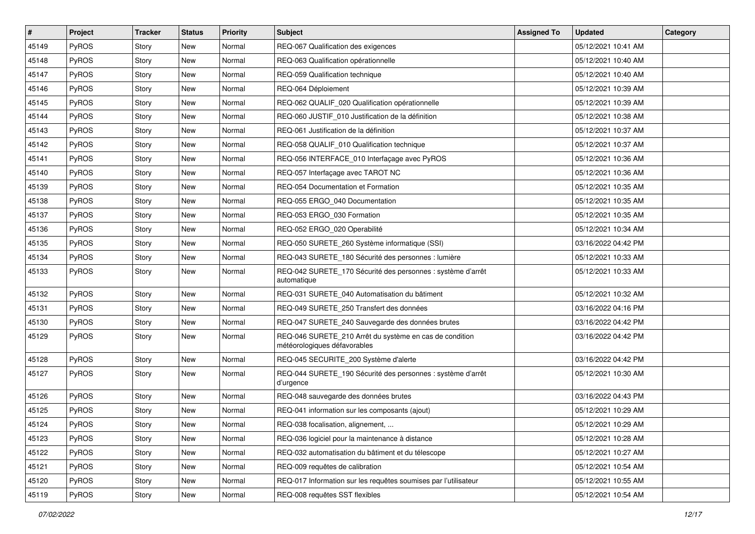| #     | Project      | <b>Tracker</b> | <b>Status</b> | <b>Priority</b> | <b>Subject</b>                                                                          | <b>Assigned To</b> | <b>Updated</b>      | Category |
|-------|--------------|----------------|---------------|-----------------|-----------------------------------------------------------------------------------------|--------------------|---------------------|----------|
| 45149 | PyROS        | Story          | <b>New</b>    | Normal          | REQ-067 Qualification des exigences                                                     |                    | 05/12/2021 10:41 AM |          |
| 45148 | PyROS        | Story          | <b>New</b>    | Normal          | REQ-063 Qualification opérationnelle                                                    |                    | 05/12/2021 10:40 AM |          |
| 45147 | PyROS        | Story          | New           | Normal          | REQ-059 Qualification technique                                                         |                    | 05/12/2021 10:40 AM |          |
| 45146 | PyROS        | Story          | <b>New</b>    | Normal          | REQ-064 Déploiement                                                                     |                    | 05/12/2021 10:39 AM |          |
| 45145 | PyROS        | Story          | <b>New</b>    | Normal          | REQ-062 QUALIF_020 Qualification opérationnelle                                         |                    | 05/12/2021 10:39 AM |          |
| 45144 | PyROS        | Story          | <b>New</b>    | Normal          | REQ-060 JUSTIF_010 Justification de la définition                                       |                    | 05/12/2021 10:38 AM |          |
| 45143 | PyROS        | Story          | <b>New</b>    | Normal          | REQ-061 Justification de la définition                                                  |                    | 05/12/2021 10:37 AM |          |
| 45142 | <b>PyROS</b> | Story          | <b>New</b>    | Normal          | REQ-058 QUALIF 010 Qualification technique                                              |                    | 05/12/2021 10:37 AM |          |
| 45141 | PyROS        | Story          | <b>New</b>    | Normal          | REQ-056 INTERFACE_010 Interfaçage avec PyROS                                            |                    | 05/12/2021 10:36 AM |          |
| 45140 | PyROS        | Story          | <b>New</b>    | Normal          | REQ-057 Interfaçage avec TAROT NC                                                       |                    | 05/12/2021 10:36 AM |          |
| 45139 | PyROS        | Story          | <b>New</b>    | Normal          | REQ-054 Documentation et Formation                                                      |                    | 05/12/2021 10:35 AM |          |
| 45138 | PyROS        | Story          | <b>New</b>    | Normal          | REQ-055 ERGO_040 Documentation                                                          |                    | 05/12/2021 10:35 AM |          |
| 45137 | <b>PyROS</b> | Story          | <b>New</b>    | Normal          | REQ-053 ERGO_030 Formation                                                              |                    | 05/12/2021 10:35 AM |          |
| 45136 | PyROS        | Story          | <b>New</b>    | Normal          | REQ-052 ERGO_020 Operabilité                                                            |                    | 05/12/2021 10:34 AM |          |
| 45135 | PyROS        | Story          | <b>New</b>    | Normal          | REQ-050 SURETE_260 Système informatique (SSI)                                           |                    | 03/16/2022 04:42 PM |          |
| 45134 | PyROS        | Story          | New           | Normal          | REQ-043 SURETE 180 Sécurité des personnes : lumière                                     |                    | 05/12/2021 10:33 AM |          |
| 45133 | PyROS        | Story          | <b>New</b>    | Normal          | REQ-042 SURETE_170 Sécurité des personnes : système d'arrêt<br>automatique              |                    | 05/12/2021 10:33 AM |          |
| 45132 | PyROS        | Story          | New           | Normal          | REQ-031 SURETE_040 Automatisation du bâtiment                                           |                    | 05/12/2021 10:32 AM |          |
| 45131 | PyROS        | Story          | <b>New</b>    | Normal          | REQ-049 SURETE_250 Transfert des données                                                |                    | 03/16/2022 04:16 PM |          |
| 45130 | PyROS        | Story          | <b>New</b>    | Normal          | REQ-047 SURETE_240 Sauvegarde des données brutes                                        |                    | 03/16/2022 04:42 PM |          |
| 45129 | <b>PyROS</b> | Story          | New           | Normal          | REQ-046 SURETE_210 Arrêt du système en cas de condition<br>météorologiques défavorables |                    | 03/16/2022 04:42 PM |          |
| 45128 | PyROS        | Story          | New           | Normal          | REQ-045 SECURITE_200 Système d'alerte                                                   |                    | 03/16/2022 04:42 PM |          |
| 45127 | <b>PyROS</b> | Story          | <b>New</b>    | Normal          | REQ-044 SURETE_190 Sécurité des personnes : système d'arrêt<br>d'urgence                |                    | 05/12/2021 10:30 AM |          |
| 45126 | PyROS        | Story          | <b>New</b>    | Normal          | REQ-048 sauvegarde des données brutes                                                   |                    | 03/16/2022 04:43 PM |          |
| 45125 | PyROS        | Story          | <b>New</b>    | Normal          | REQ-041 information sur les composants (ajout)                                          |                    | 05/12/2021 10:29 AM |          |
| 45124 | PyROS        | Story          | New           | Normal          | REQ-038 focalisation, alignement,                                                       |                    | 05/12/2021 10:29 AM |          |
| 45123 | <b>PyROS</b> | Story          | New           | Normal          | REQ-036 logiciel pour la maintenance à distance                                         |                    | 05/12/2021 10:28 AM |          |
| 45122 | PyROS        | Story          | New           | Normal          | REQ-032 automatisation du bâtiment et du télescope                                      |                    | 05/12/2021 10:27 AM |          |
| 45121 | <b>PyROS</b> | Story          | New           | Normal          | REQ-009 requêtes de calibration                                                         |                    | 05/12/2021 10:54 AM |          |
| 45120 | PyROS        | Story          | New           | Normal          | REQ-017 Information sur les requêtes soumises par l'utilisateur                         |                    | 05/12/2021 10:55 AM |          |
| 45119 | PyROS        | Story          | New           | Normal          | REQ-008 requêtes SST flexibles                                                          |                    | 05/12/2021 10:54 AM |          |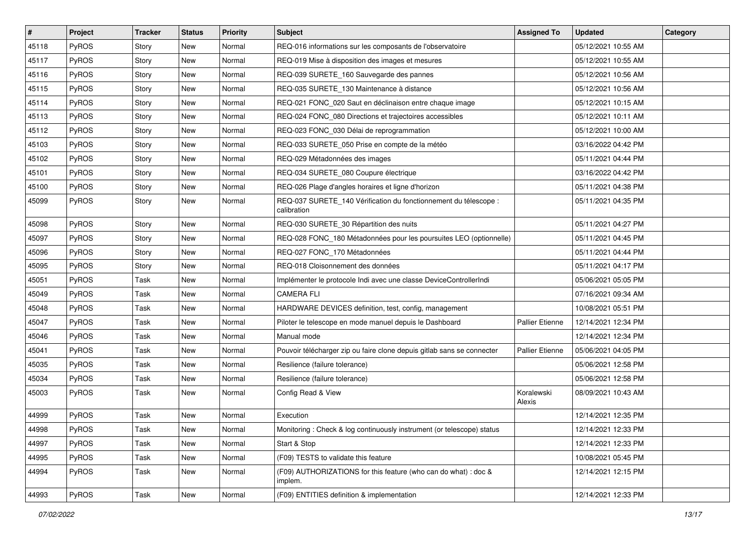| $\vert$ # | Project      | <b>Tracker</b> | <b>Status</b> | <b>Priority</b> | <b>Subject</b>                                                                  | <b>Assigned To</b>     | <b>Updated</b>      | Category |
|-----------|--------------|----------------|---------------|-----------------|---------------------------------------------------------------------------------|------------------------|---------------------|----------|
| 45118     | PyROS        | Story          | <b>New</b>    | Normal          | REQ-016 informations sur les composants de l'observatoire                       |                        | 05/12/2021 10:55 AM |          |
| 45117     | PyROS        | Story          | <b>New</b>    | Normal          | REQ-019 Mise à disposition des images et mesures                                |                        | 05/12/2021 10:55 AM |          |
| 45116     | <b>PyROS</b> | Story          | New           | Normal          | REQ-039 SURETE_160 Sauvegarde des pannes                                        |                        | 05/12/2021 10:56 AM |          |
| 45115     | PyROS        | Story          | <b>New</b>    | Normal          | REQ-035 SURETE_130 Maintenance à distance                                       |                        | 05/12/2021 10:56 AM |          |
| 45114     | PyROS        | Story          | <b>New</b>    | Normal          | REQ-021 FONC_020 Saut en déclinaison entre chaque image                         |                        | 05/12/2021 10:15 AM |          |
| 45113     | PyROS        | Story          | New           | Normal          | REQ-024 FONC_080 Directions et trajectoires accessibles                         |                        | 05/12/2021 10:11 AM |          |
| 45112     | PyROS        | Story          | <b>New</b>    | Normal          | REQ-023 FONC_030 Délai de reprogrammation                                       |                        | 05/12/2021 10:00 AM |          |
| 45103     | <b>PyROS</b> | Story          | <b>New</b>    | Normal          | REQ-033 SURETE_050 Prise en compte de la météo                                  |                        | 03/16/2022 04:42 PM |          |
| 45102     | PyROS        | Story          | <b>New</b>    | Normal          | REQ-029 Métadonnées des images                                                  |                        | 05/11/2021 04:44 PM |          |
| 45101     | PyROS        | Story          | <b>New</b>    | Normal          | REQ-034 SURETE_080 Coupure électrique                                           |                        | 03/16/2022 04:42 PM |          |
| 45100     | <b>PyROS</b> | Story          | New           | Normal          | REQ-026 Plage d'angles horaires et ligne d'horizon                              |                        | 05/11/2021 04:38 PM |          |
| 45099     | PyROS        | Story          | <b>New</b>    | Normal          | REQ-037 SURETE_140 Vérification du fonctionnement du télescope :<br>calibration |                        | 05/11/2021 04:35 PM |          |
| 45098     | PyROS        | Story          | New           | Normal          | REQ-030 SURETE_30 Répartition des nuits                                         |                        | 05/11/2021 04:27 PM |          |
| 45097     | PyROS        | Story          | <b>New</b>    | Normal          | REQ-028 FONC_180 Métadonnées pour les poursuites LEO (optionnelle)              |                        | 05/11/2021 04:45 PM |          |
| 45096     | PyROS        | Story          | New           | Normal          | REQ-027 FONC_170 Métadonnées                                                    |                        | 05/11/2021 04:44 PM |          |
| 45095     | PyROS        | Story          | <b>New</b>    | Normal          | REQ-018 Cloisonnement des données                                               |                        | 05/11/2021 04:17 PM |          |
| 45051     | PyROS        | Task           | <b>New</b>    | Normal          | Implémenter le protocole Indi avec une classe DeviceControllerIndi              |                        | 05/06/2021 05:05 PM |          |
| 45049     | PyROS        | Task           | New           | Normal          | <b>CAMERA FLI</b>                                                               |                        | 07/16/2021 09:34 AM |          |
| 45048     | PyROS        | Task           | <b>New</b>    | Normal          | HARDWARE DEVICES definition, test, config, management                           |                        | 10/08/2021 05:51 PM |          |
| 45047     | PyROS        | Task           | New           | Normal          | Piloter le telescope en mode manuel depuis le Dashboard                         | <b>Pallier Etienne</b> | 12/14/2021 12:34 PM |          |
| 45046     | PyROS        | Task           | <b>New</b>    | Normal          | Manual mode                                                                     |                        | 12/14/2021 12:34 PM |          |
| 45041     | PyROS        | Task           | <b>New</b>    | Normal          | Pouvoir télécharger zip ou faire clone depuis gitlab sans se connecter          | <b>Pallier Etienne</b> | 05/06/2021 04:05 PM |          |
| 45035     | PyROS        | Task           | New           | Normal          | Resilience (failure tolerance)                                                  |                        | 05/06/2021 12:58 PM |          |
| 45034     | PyROS        | Task           | <b>New</b>    | Normal          | Resilience (failure tolerance)                                                  |                        | 05/06/2021 12:58 PM |          |
| 45003     | <b>PyROS</b> | Task           | New           | Normal          | Config Read & View                                                              | Koralewski<br>Alexis   | 08/09/2021 10:43 AM |          |
| 44999     | PyROS        | Task           | <b>New</b>    | Normal          | Execution                                                                       |                        | 12/14/2021 12:35 PM |          |
| 44998     | PyROS        | Task           | New           | Normal          | Monitoring: Check & log continuously instrument (or telescope) status           |                        | 12/14/2021 12:33 PM |          |
| 44997     | PyROS        | Task           | New           | Normal          | Start & Stop                                                                    |                        | 12/14/2021 12:33 PM |          |
| 44995     | PyROS        | Task           | <b>New</b>    | Normal          | (F09) TESTS to validate this feature                                            |                        | 10/08/2021 05:45 PM |          |
| 44994     | PyROS        | Task           | New           | Normal          | (F09) AUTHORIZATIONS for this feature (who can do what) : doc &<br>implem.      |                        | 12/14/2021 12:15 PM |          |
| 44993     | PyROS        | Task           | New           | Normal          | (F09) ENTITIES definition & implementation                                      |                        | 12/14/2021 12:33 PM |          |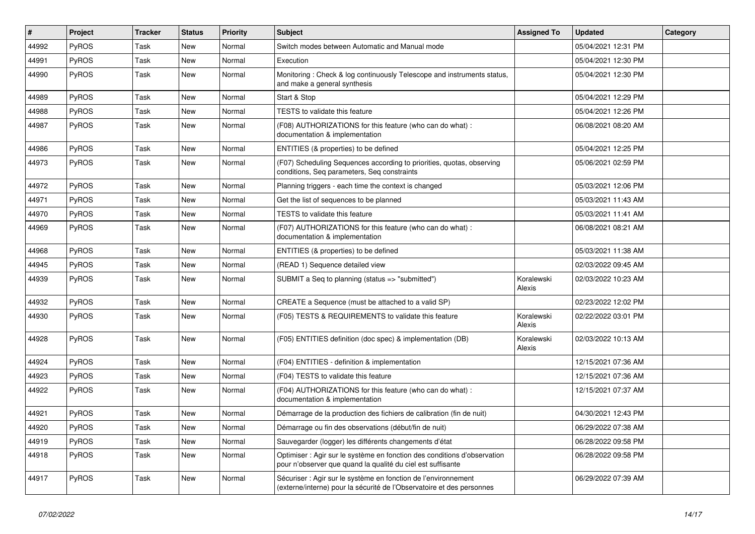| $\vert$ # | Project      | <b>Tracker</b> | <b>Status</b> | <b>Priority</b> | <b>Subject</b>                                                                                                                          | <b>Assigned To</b>   | <b>Updated</b>      | Category |
|-----------|--------------|----------------|---------------|-----------------|-----------------------------------------------------------------------------------------------------------------------------------------|----------------------|---------------------|----------|
| 44992     | <b>PyROS</b> | Task           | <b>New</b>    | Normal          | Switch modes between Automatic and Manual mode                                                                                          |                      | 05/04/2021 12:31 PM |          |
| 44991     | PyROS        | Task           | <b>New</b>    | Normal          | Execution                                                                                                                               |                      | 05/04/2021 12:30 PM |          |
| 44990     | PyROS        | Task           | <b>New</b>    | Normal          | Monitoring: Check & log continuously Telescope and instruments status,<br>and make a general synthesis                                  |                      | 05/04/2021 12:30 PM |          |
| 44989     | PyROS        | Task           | <b>New</b>    | Normal          | Start & Stop                                                                                                                            |                      | 05/04/2021 12:29 PM |          |
| 44988     | PyROS        | Task           | <b>New</b>    | Normal          | <b>TESTS</b> to validate this feature                                                                                                   |                      | 05/04/2021 12:26 PM |          |
| 44987     | PyROS        | Task           | <b>New</b>    | Normal          | (F08) AUTHORIZATIONS for this feature (who can do what):<br>documentation & implementation                                              |                      | 06/08/2021 08:20 AM |          |
| 44986     | PyROS        | Task           | New           | Normal          | ENTITIES (& properties) to be defined                                                                                                   |                      | 05/04/2021 12:25 PM |          |
| 44973     | PyROS        | Task           | New           | Normal          | (F07) Scheduling Sequences according to priorities, quotas, observing<br>conditions, Seq parameters, Seq constraints                    |                      | 05/06/2021 02:59 PM |          |
| 44972     | PyROS        | Task           | <b>New</b>    | Normal          | Planning triggers - each time the context is changed                                                                                    |                      | 05/03/2021 12:06 PM |          |
| 44971     | PyROS        | Task           | <b>New</b>    | Normal          | Get the list of sequences to be planned                                                                                                 |                      | 05/03/2021 11:43 AM |          |
| 44970     | PyROS        | Task           | <b>New</b>    | Normal          | <b>TESTS</b> to validate this feature                                                                                                   |                      | 05/03/2021 11:41 AM |          |
| 44969     | PyROS        | Task           | New           | Normal          | (F07) AUTHORIZATIONS for this feature (who can do what) :<br>documentation & implementation                                             |                      | 06/08/2021 08:21 AM |          |
| 44968     | PyROS        | Task           | <b>New</b>    | Normal          | ENTITIES (& properties) to be defined                                                                                                   |                      | 05/03/2021 11:38 AM |          |
| 44945     | PyROS        | Task           | <b>New</b>    | Normal          | (READ 1) Sequence detailed view                                                                                                         |                      | 02/03/2022 09:45 AM |          |
| 44939     | PyROS        | Task           | New           | Normal          | SUBMIT a Seq to planning (status => "submitted")                                                                                        | Koralewski<br>Alexis | 02/03/2022 10:23 AM |          |
| 44932     | <b>PyROS</b> | Task           | New           | Normal          | CREATE a Sequence (must be attached to a valid SP)                                                                                      |                      | 02/23/2022 12:02 PM |          |
| 44930     | PyROS        | Task           | New           | Normal          | (F05) TESTS & REQUIREMENTS to validate this feature                                                                                     | Koralewski<br>Alexis | 02/22/2022 03:01 PM |          |
| 44928     | PyROS        | Task           | New           | Normal          | (F05) ENTITIES definition (doc spec) & implementation (DB)                                                                              | Koralewski<br>Alexis | 02/03/2022 10:13 AM |          |
| 44924     | PyROS        | Task           | <b>New</b>    | Normal          | (F04) ENTITIES - definition & implementation                                                                                            |                      | 12/15/2021 07:36 AM |          |
| 44923     | PyROS        | Task           | <b>New</b>    | Normal          | (F04) TESTS to validate this feature                                                                                                    |                      | 12/15/2021 07:36 AM |          |
| 44922     | PyROS        | Task           | New           | Normal          | (F04) AUTHORIZATIONS for this feature (who can do what):<br>documentation & implementation                                              |                      | 12/15/2021 07:37 AM |          |
| 44921     | PyROS        | Task           | New           | Normal          | Démarrage de la production des fichiers de calibration (fin de nuit)                                                                    |                      | 04/30/2021 12:43 PM |          |
| 44920     | PyROS        | Task           | <b>New</b>    | Normal          | Démarrage ou fin des observations (début/fin de nuit)                                                                                   |                      | 06/29/2022 07:38 AM |          |
| 44919     | PyROS        | Task           | <b>New</b>    | Normal          | Sauvegarder (logger) les différents changements d'état                                                                                  |                      | 06/28/2022 09:58 PM |          |
| 44918     | <b>PyROS</b> | Task           | New           | Normal          | Optimiser : Agir sur le système en fonction des conditions d'observation<br>pour n'observer que quand la qualité du ciel est suffisante |                      | 06/28/2022 09:58 PM |          |
| 44917     | PyROS        | Task           | New           | Normal          | Sécuriser : Agir sur le système en fonction de l'environnement<br>(externe/interne) pour la sécurité de l'Observatoire et des personnes |                      | 06/29/2022 07:39 AM |          |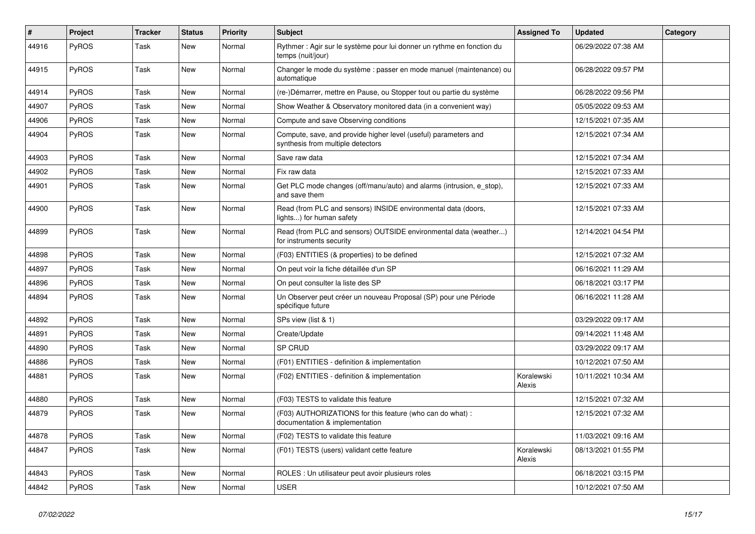| #     | Project | <b>Tracker</b> | <b>Status</b> | <b>Priority</b> | Subject                                                                                              | <b>Assigned To</b>   | <b>Updated</b>      | Category |
|-------|---------|----------------|---------------|-----------------|------------------------------------------------------------------------------------------------------|----------------------|---------------------|----------|
| 44916 | PyROS   | Task           | New           | Normal          | Rythmer : Agir sur le système pour lui donner un rythme en fonction du<br>temps (nuit/jour)          |                      | 06/29/2022 07:38 AM |          |
| 44915 | PyROS   | Task           | <b>New</b>    | Normal          | Changer le mode du système : passer en mode manuel (maintenance) ou<br>automatique                   |                      | 06/28/2022 09:57 PM |          |
| 44914 | PyROS   | Task           | <b>New</b>    | Normal          | (re-)Démarrer, mettre en Pause, ou Stopper tout ou partie du système                                 |                      | 06/28/2022 09:56 PM |          |
| 44907 | PyROS   | Task           | New           | Normal          | Show Weather & Observatory monitored data (in a convenient way)                                      |                      | 05/05/2022 09:53 AM |          |
| 44906 | PyROS   | Task           | <b>New</b>    | Normal          | Compute and save Observing conditions                                                                |                      | 12/15/2021 07:35 AM |          |
| 44904 | PyROS   | Task           | New           | Normal          | Compute, save, and provide higher level (useful) parameters and<br>synthesis from multiple detectors |                      | 12/15/2021 07:34 AM |          |
| 44903 | PyROS   | Task           | <b>New</b>    | Normal          | Save raw data                                                                                        |                      | 12/15/2021 07:34 AM |          |
| 44902 | PyROS   | Task           | <b>New</b>    | Normal          | Fix raw data                                                                                         |                      | 12/15/2021 07:33 AM |          |
| 44901 | PyROS   | Task           | New           | Normal          | Get PLC mode changes (off/manu/auto) and alarms (intrusion, e_stop),<br>and save them                |                      | 12/15/2021 07:33 AM |          |
| 44900 | PyROS   | Task           | New           | Normal          | Read (from PLC and sensors) INSIDE environmental data (doors,<br>lights) for human safety            |                      | 12/15/2021 07:33 AM |          |
| 44899 | PyROS   | Task           | New           | Normal          | Read (from PLC and sensors) OUTSIDE environmental data (weather)<br>for instruments security         |                      | 12/14/2021 04:54 PM |          |
| 44898 | PyROS   | <b>Task</b>    | <b>New</b>    | Normal          | (F03) ENTITIES (& properties) to be defined                                                          |                      | 12/15/2021 07:32 AM |          |
| 44897 | PyROS   | Task           | <b>New</b>    | Normal          | On peut voir la fiche détaillée d'un SP                                                              |                      | 06/16/2021 11:29 AM |          |
| 44896 | PyROS   | Task           | <b>New</b>    | Normal          | On peut consulter la liste des SP                                                                    |                      | 06/18/2021 03:17 PM |          |
| 44894 | PyROS   | Task           | <b>New</b>    | Normal          | Un Observer peut créer un nouveau Proposal (SP) pour une Période<br>spécifique future                |                      | 06/16/2021 11:28 AM |          |
| 44892 | PyROS   | <b>Task</b>    | <b>New</b>    | Normal          | SPs view (list & 1)                                                                                  |                      | 03/29/2022 09:17 AM |          |
| 44891 | PyROS   | Task           | <b>New</b>    | Normal          | Create/Update                                                                                        |                      | 09/14/2021 11:48 AM |          |
| 44890 | PyROS   | Task           | <b>New</b>    | Normal          | SP CRUD                                                                                              |                      | 03/29/2022 09:17 AM |          |
| 44886 | PyROS   | Task           | <b>New</b>    | Normal          | (F01) ENTITIES - definition & implementation                                                         |                      | 10/12/2021 07:50 AM |          |
| 44881 | PyROS   | Task           | New           | Normal          | (F02) ENTITIES - definition & implementation                                                         | Koralewski<br>Alexis | 10/11/2021 10:34 AM |          |
| 44880 | PyROS   | Task           | <b>New</b>    | Normal          | (F03) TESTS to validate this feature                                                                 |                      | 12/15/2021 07:32 AM |          |
| 44879 | PyROS   | Task           | New           | Normal          | (F03) AUTHORIZATIONS for this feature (who can do what) :<br>documentation & implementation          |                      | 12/15/2021 07:32 AM |          |
| 44878 | PyROS   | Task           | New           | Normal          | (F02) TESTS to validate this feature                                                                 |                      | 11/03/2021 09:16 AM |          |
| 44847 | PyROS   | Task           | New           | Normal          | (F01) TESTS (users) validant cette feature                                                           | Koralewski<br>Alexis | 08/13/2021 01:55 PM |          |
| 44843 | PyROS   | Task           | New           | Normal          | ROLES : Un utilisateur peut avoir plusieurs roles                                                    |                      | 06/18/2021 03:15 PM |          |
| 44842 | PyROS   | Task           | New           | Normal          | <b>USER</b>                                                                                          |                      | 10/12/2021 07:50 AM |          |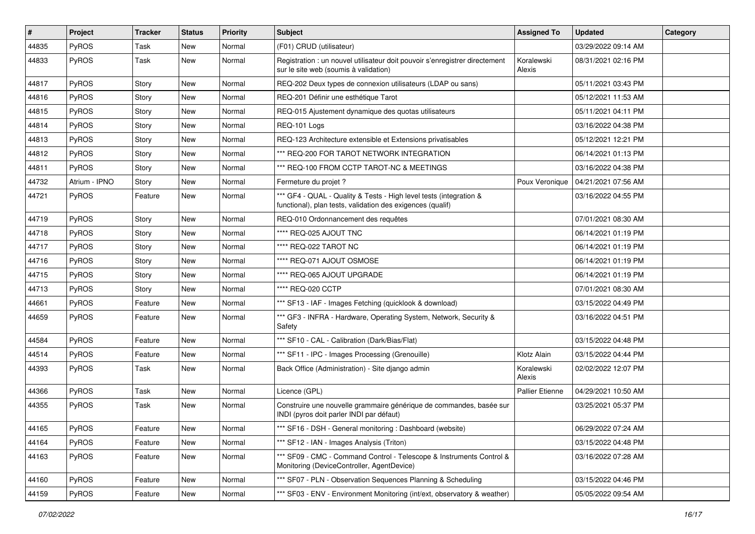| #     | Project       | <b>Tracker</b> | <b>Status</b> | <b>Priority</b> | <b>Subject</b>                                                                                                                   | <b>Assigned To</b>     | <b>Updated</b>      | Category |
|-------|---------------|----------------|---------------|-----------------|----------------------------------------------------------------------------------------------------------------------------------|------------------------|---------------------|----------|
| 44835 | PyROS         | Task           | <b>New</b>    | Normal          | (F01) CRUD (utilisateur)                                                                                                         |                        | 03/29/2022 09:14 AM |          |
| 44833 | PyROS         | Task           | <b>New</b>    | Normal          | Registration : un nouvel utilisateur doit pouvoir s'enregistrer directement<br>sur le site web (soumis à validation)             | Koralewski<br>Alexis   | 08/31/2021 02:16 PM |          |
| 44817 | PyROS         | Story          | <b>New</b>    | Normal          | REQ-202 Deux types de connexion utilisateurs (LDAP ou sans)                                                                      |                        | 05/11/2021 03:43 PM |          |
| 44816 | PyROS         | Story          | <b>New</b>    | Normal          | REQ-201 Définir une esthétique Tarot                                                                                             |                        | 05/12/2021 11:53 AM |          |
| 44815 | PyROS         | Story          | <b>New</b>    | Normal          | REQ-015 Ajustement dynamique des quotas utilisateurs                                                                             |                        | 05/11/2021 04:11 PM |          |
| 44814 | PyROS         | Story          | <b>New</b>    | Normal          | REQ-101 Logs                                                                                                                     |                        | 03/16/2022 04:38 PM |          |
| 44813 | <b>PyROS</b>  | Story          | <b>New</b>    | Normal          | REQ-123 Architecture extensible et Extensions privatisables                                                                      |                        | 05/12/2021 12:21 PM |          |
| 44812 | PyROS         | Story          | <b>New</b>    | Normal          | *** REQ-200 FOR TAROT NETWORK INTEGRATION                                                                                        |                        | 06/14/2021 01:13 PM |          |
| 44811 | PyROS         | Story          | <b>New</b>    | Normal          | *** REQ-100 FROM CCTP TAROT-NC & MEETINGS                                                                                        |                        | 03/16/2022 04:38 PM |          |
| 44732 | Atrium - IPNO | Story          | New           | Normal          | Fermeture du projet ?                                                                                                            | Poux Veronique         | 04/21/2021 07:56 AM |          |
| 44721 | PyROS         | Feature        | <b>New</b>    | Normal          | *** GF4 - QUAL - Quality & Tests - High level tests (integration &<br>functional), plan tests, validation des exigences (qualif) |                        | 03/16/2022 04:55 PM |          |
| 44719 | PyROS         | Story          | <b>New</b>    | Normal          | REQ-010 Ordonnancement des requêtes                                                                                              |                        | 07/01/2021 08:30 AM |          |
| 44718 | PyROS         | Story          | <b>New</b>    | Normal          | **** REQ-025 AJOUT TNC                                                                                                           |                        | 06/14/2021 01:19 PM |          |
| 44717 | PyROS         | Story          | <b>New</b>    | Normal          | **** REQ-022 TAROT NC                                                                                                            |                        | 06/14/2021 01:19 PM |          |
| 44716 | PyROS         | Story          | <b>New</b>    | Normal          | **** REQ-071 AJOUT OSMOSE                                                                                                        |                        | 06/14/2021 01:19 PM |          |
| 44715 | PyROS         | Story          | <b>New</b>    | Normal          | **** REQ-065 AJOUT UPGRADE                                                                                                       |                        | 06/14/2021 01:19 PM |          |
| 44713 | PyROS         | Story          | <b>New</b>    | Normal          | **** REQ-020 CCTP                                                                                                                |                        | 07/01/2021 08:30 AM |          |
| 44661 | PyROS         | Feature        | <b>New</b>    | Normal          | *** SF13 - IAF - Images Fetching (quicklook & download)                                                                          |                        | 03/15/2022 04:49 PM |          |
| 44659 | <b>PyROS</b>  | Feature        | <b>New</b>    | Normal          | *** GF3 - INFRA - Hardware, Operating System, Network, Security &<br>Safety                                                      |                        | 03/16/2022 04:51 PM |          |
| 44584 | PyROS         | Feature        | <b>New</b>    | Normal          | *** SF10 - CAL - Calibration (Dark/Bias/Flat)                                                                                    |                        | 03/15/2022 04:48 PM |          |
| 44514 | PyROS         | Feature        | <b>New</b>    | Normal          | *** SF11 - IPC - Images Processing (Grenouille)                                                                                  | Klotz Alain            | 03/15/2022 04:44 PM |          |
| 44393 | PyROS         | Task           | New           | Normal          | Back Office (Administration) - Site django admin                                                                                 | Koralewski<br>Alexis   | 02/02/2022 12:07 PM |          |
| 44366 | PyROS         | Task           | <b>New</b>    | Normal          | Licence (GPL)                                                                                                                    | <b>Pallier Etienne</b> | 04/29/2021 10:50 AM |          |
| 44355 | PyROS         | Task           | <b>New</b>    | Normal          | Construire une nouvelle grammaire générique de commandes, basée sur<br>INDI (pyros doit parler INDI par défaut)                  |                        | 03/25/2021 05:37 PM |          |
| 44165 | PyROS         | Feature        | New           | Normal          | *** SF16 - DSH - General monitoring : Dashboard (website)                                                                        |                        | 06/29/2022 07:24 AM |          |
| 44164 | PyROS         | Feature        | New           | Normal          | *** SF12 - IAN - Images Analysis (Triton)                                                                                        |                        | 03/15/2022 04:48 PM |          |
| 44163 | PyROS         | Feature        | New           | Normal          | *** SF09 - CMC - Command Control - Telescope & Instruments Control &<br>Monitoring (DeviceController, AgentDevice)               |                        | 03/16/2022 07:28 AM |          |
| 44160 | PyROS         | Feature        | New           | Normal          | *** SF07 - PLN - Observation Sequences Planning & Scheduling                                                                     |                        | 03/15/2022 04:46 PM |          |
| 44159 | PyROS         | Feature        | New           | Normal          | *** SF03 - ENV - Environment Monitoring (int/ext, observatory & weather)                                                         |                        | 05/05/2022 09:54 AM |          |